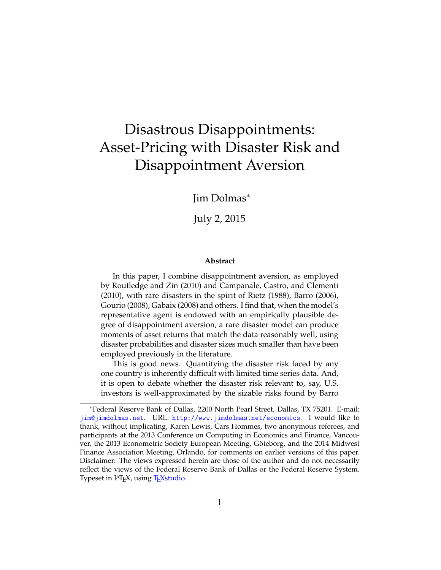# Disastrous Disappointments: Asset-Pricing with Disaster Risk and Disappointment Aversion

Jim Dolmas<sup>∗</sup>

July 2, 2015

#### **Abstract**

In this paper, I combine disappointment aversion, as employed by [Routledge and Zin](#page-39-0) [\(2010\)](#page-39-0) and [Campanale, Castro, and Clementi](#page-38-0) [\(2010\)](#page-38-0), with rare disasters in the spirit of [Rietz](#page-39-1) [\(1988\)](#page-39-1), [Barro](#page-37-0) [\(2006\)](#page-37-0), [Gourio](#page-38-1) [\(2008\)](#page-38-1), [Gabaix](#page-38-2) [\(2008\)](#page-38-2) and others. I find that, when the model's representative agent is endowed with an empirically plausible degree of disappointment aversion, a rare disaster model can produce moments of asset returns that match the data reasonably well, using disaster probabilities and disaster sizes much smaller than have been employed previously in the literature.

This is good news. Quantifying the disaster risk faced by any one country is inherently difficult with limited time series data. And, it is open to debate whether the disaster risk relevant to, say, U.S. investors is well-approximated by the sizable risks found by [Barro](#page-37-0)

<sup>∗</sup>Federal Reserve Bank of Dallas, 2200 North Pearl Street, Dallas, TX 75201. E-mail: [jim@jimdolmas.net](mailto:jim@jimdolmas.net). URL: <http://www.jimdolmas.net/economics>. I would like to thank, without implicating, Karen Lewis, Cars Hommes, two anonymous referees, and participants at the 2013 Conference on Computing in Economics and Finance, Vancouver, the 2013 Econometric Society European Meeting, Göteborg, and the 2014 Midwest Finance Association Meeting, Orlando, for comments on earlier versions of this paper. Disclaimer: The views expressed herein are those of the author and do not necessarily reflect the views of the Federal Reserve Bank of Dallas or the Federal Reserve System. Typeset in LAT<sub>E</sub>X, using T<sub>E</sub>X studio.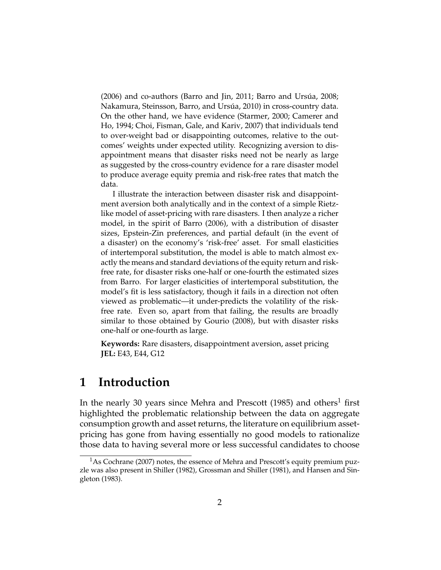$(2006)$  and co-authors [\(Barro and Jin,](#page-37-1) [2011;](#page-37-1) Barro and Ursúa, [2008;](#page-37-2) Nakamura, Steinsson, Barro, and Ursúa, [2010\)](#page-39-2) in cross-country data. On the other hand, we have evidence [\(Starmer,](#page-39-3) [2000;](#page-39-3) [Camerer and](#page-38-3) [Ho,](#page-38-3) [1994;](#page-38-3) [Choi, Fisman, Gale, and Kariv,](#page-38-4) [2007\)](#page-38-4) that individuals tend to over-weight bad or disappointing outcomes, relative to the outcomes' weights under expected utility. Recognizing aversion to disappointment means that disaster risks need not be nearly as large as suggested by the cross-country evidence for a rare disaster model to produce average equity premia and risk-free rates that match the data.

I illustrate the interaction between disaster risk and disappointment aversion both analytically and in the context of a simple Rietzlike model of asset-pricing with rare disasters. I then analyze a richer model, in the spirit of [Barro](#page-37-0) [\(2006\)](#page-37-0), with a distribution of disaster sizes, Epstein-Zin preferences, and partial default (in the event of a disaster) on the economy's 'risk-free' asset. For small elasticities of intertemporal substitution, the model is able to match almost exactly the means and standard deviations of the equity return and riskfree rate, for disaster risks one-half or one-fourth the estimated sizes from [Barro.](#page-37-0) For larger elasticities of intertemporal substitution, the model's fit is less satisfactory, though it fails in a direction not often viewed as problematic—it under-predicts the volatility of the riskfree rate. Even so, apart from that failing, the results are broadly similar to those obtained by [Gourio](#page-38-1) [\(2008\)](#page-38-1), but with disaster risks one-half or one-fourth as large.

**Keywords:** Rare disasters, disappointment aversion, asset pricing **JEL:** E43, E44, G12

### <span id="page-1-0"></span>**1 Introduction**

In the nearly 30 years since [Mehra and Prescott](#page-39-4) [\(1985\)](#page-39-4) and others<sup>1</sup> first highlighted the problematic relationship between the data on aggregate consumption growth and asset returns, the literature on equilibrium assetpricing has gone from having essentially no good models to rationalize those data to having several more or less successful candidates to choose

<sup>&</sup>lt;sup>1</sup>As [Cochrane](#page-38-5) [\(2007\)](#page-38-5) notes, the essence of Mehra and Prescott's equity premium puzzle was also present in [Shiller](#page-39-5) [\(1982\)](#page-39-5), [Grossman and Shiller](#page-38-6) [\(1981\)](#page-38-6), and [Hansen and Sin](#page-39-6)[gleton](#page-39-6) [\(1983\)](#page-39-6).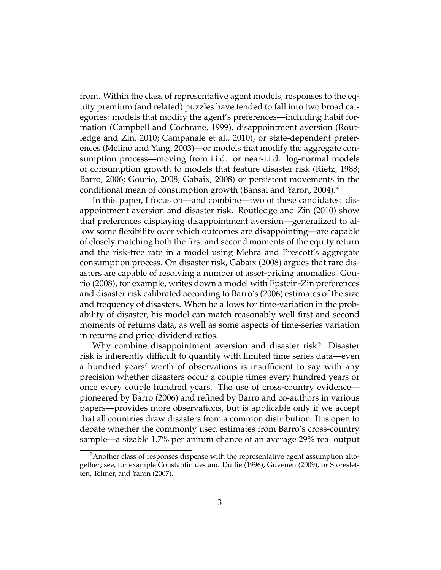from. Within the class of representative agent models, responses to the equity premium (and related) puzzles have tended to fall into two broad categories: models that modify the agent's preferences—including habit formation [\(Campbell and Cochrane,](#page-38-7) [1999\)](#page-38-7), disappointment aversion [\(Rout](#page-39-0)[ledge and Zin,](#page-39-0) [2010;](#page-39-0) [Campanale et al.,](#page-38-0) [2010\)](#page-38-0), or state-dependent preferences [\(Melino and Yang,](#page-39-7) [2003\)](#page-39-7)—or models that modify the aggregate consumption process—moving from i.i.d. or near-i.i.d. log-normal models of consumption growth to models that feature disaster risk [\(Rietz,](#page-39-1) [1988;](#page-39-1) [Barro,](#page-37-0) [2006;](#page-37-0) [Gourio,](#page-38-1) [2008;](#page-38-1) [Gabaix,](#page-38-2) [2008\)](#page-38-2) or persistent movements in the conditional mean of consumption growth [\(Bansal and Yaron,](#page-37-3) [2004\)](#page-37-3).<sup>2</sup>

In this paper, I focus on—and combine—two of these candidates: disappointment aversion and disaster risk. [Routledge and Zin](#page-39-0) [\(2010\)](#page-39-0) show that preferences displaying disappointment aversion—generalized to allow some flexibility over which outcomes are disappointing—are capable of closely matching both the first and second moments of the equity return and the risk-free rate in a model using Mehra and Prescott's aggregate consumption process. On disaster risk, [Gabaix](#page-38-2) [\(2008\)](#page-38-2) argues that rare disasters are capable of resolving a number of asset-pricing anomalies. [Gou](#page-38-1)[rio](#page-38-1) [\(2008\)](#page-38-1), for example, writes down a model with Epstein-Zin preferences and disaster risk calibrated according to Barro's [\(2006\)](#page-37-0) estimates of the size and frequency of disasters. When he allows for time-variation in the probability of disaster, his model can match reasonably well first and second moments of returns data, as well as some aspects of time-series variation in returns and price-dividend ratios.

Why combine disappointment aversion and disaster risk? Disaster risk is inherently difficult to quantify with limited time series data—even a hundred years' worth of observations is insufficient to say with any precision whether disasters occur a couple times every hundred years or once every couple hundred years. The use of cross-country evidence pioneered by [Barro](#page-37-0) [\(2006\)](#page-37-0) and refined by Barro and co-authors in various papers—provides more observations, but is applicable only if we accept that all countries draw disasters from a common distribution. It is open to debate whether the commonly used estimates from Barro's cross-country sample—a sizable 1.7% per annum chance of an average 29% real output

<sup>&</sup>lt;sup>2</sup>Another class of responses dispense with the representative agent assumption altogether; see, for example [Constantinides and Duffie](#page-38-8) [\(1996\)](#page-38-8), [Guvenen](#page-38-9) [\(2009\)](#page-38-9), or [Storeslet](#page-39-8)[ten, Telmer, and Yaron](#page-39-8) [\(2007\)](#page-39-8).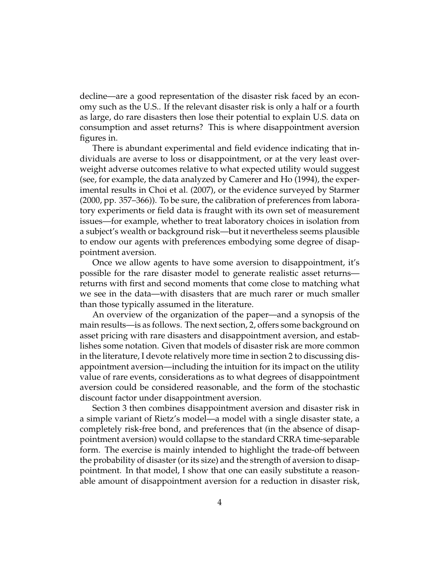decline—are a good representation of the disaster risk faced by an economy such as the U.S.. If the relevant disaster risk is only a half or a fourth as large, do rare disasters then lose their potential to explain U.S. data on consumption and asset returns? This is where disappointment aversion figures in.

There is abundant experimental and field evidence indicating that individuals are averse to loss or disappointment, or at the very least overweight adverse outcomes relative to what expected utility would suggest (see, for example, the data analyzed by [Camerer and Ho](#page-38-3) [\(1994\)](#page-38-3), the experimental results in [Choi et al.](#page-38-4) [\(2007\)](#page-38-4), or the evidence surveyed by [Starmer](#page-39-3) [\(2000,](#page-39-3) pp. 357–366)). To be sure, the calibration of preferences from laboratory experiments or field data is fraught with its own set of measurement issues—for example, whether to treat laboratory choices in isolation from a subject's wealth or background risk—but it nevertheless seems plausible to endow our agents with preferences embodying some degree of disappointment aversion.

Once we allow agents to have some aversion to disappointment, it's possible for the rare disaster model to generate realistic asset returns returns with first and second moments that come close to matching what we see in the data—with disasters that are much rarer or much smaller than those typically assumed in the literature.

An overview of the organization of the paper—and a synopsis of the main results—is as follows. The next section, [2,](#page-5-0) offers some background on asset pricing with rare disasters and disappointment aversion, and establishes some notation. Given that models of disaster risk are more common in the literature, I devote relatively more time in section [2](#page-5-0) to discussing disappointment aversion—including the intuition for its impact on the utility value of rare events, considerations as to what degrees of disappointment aversion could be considered reasonable, and the form of the stochastic discount factor under disappointment aversion.

Section [3](#page-14-0) then combines disappointment aversion and disaster risk in a simple variant of Rietz's model—a model with a single disaster state, a completely risk-free bond, and preferences that (in the absence of disappointment aversion) would collapse to the standard CRRA time-separable form. The exercise is mainly intended to highlight the trade-off between the probability of disaster (or its size) and the strength of aversion to disappointment. In that model, I show that one can easily substitute a reasonable amount of disappointment aversion for a reduction in disaster risk,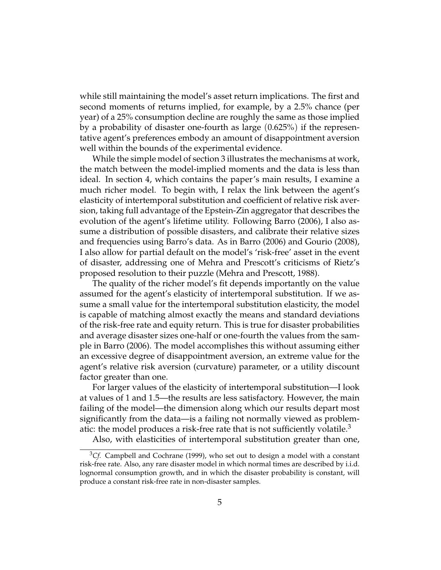while still maintaining the model's asset return implications. The first and second moments of returns implied, for example, by a 2.5% chance (per year) of a 25% consumption decline are roughly the same as those implied by a probability of disaster one-fourth as large (0.625%) if the representative agent's preferences embody an amount of disappointment aversion well within the bounds of the experimental evidence.

While the simple model of section [3](#page-14-0) illustrates the mechanisms at work, the match between the model-implied moments and the data is less than ideal. In section [4,](#page-22-0) which contains the paper's main results, I examine a much richer model. To begin with, I relax the link between the agent's elasticity of intertemporal substitution and coefficient of relative risk aversion, taking full advantage of the Epstein-Zin aggregator that describes the evolution of the agent's lifetime utility. Following [Barro](#page-37-0) [\(2006\)](#page-37-0), I also assume a distribution of possible disasters, and calibrate their relative sizes and frequencies using Barro's data. As in [Barro](#page-37-0) [\(2006\)](#page-37-0) and [Gourio](#page-38-1) [\(2008\)](#page-38-1), I also allow for partial default on the model's 'risk-free' asset in the event of disaster, addressing one of Mehra and Prescott's criticisms of Rietz's proposed resolution to their puzzle [\(Mehra and Prescott,](#page-39-9) [1988\)](#page-39-9).

The quality of the richer model's fit depends importantly on the value assumed for the agent's elasticity of intertemporal substitution. If we assume a small value for the intertemporal substitution elasticity, the model is capable of matching almost exactly the means and standard deviations of the risk-free rate and equity return. This is true for disaster probabilities and average disaster sizes one-half or one-fourth the values from the sample in [Barro](#page-37-0) [\(2006\)](#page-37-0). The model accomplishes this without assuming either an excessive degree of disappointment aversion, an extreme value for the agent's relative risk aversion (curvature) parameter, or a utility discount factor greater than one.

For larger values of the elasticity of intertemporal substitution—I look at values of 1 and 1.5—the results are less satisfactory. However, the main failing of the model—the dimension along which our results depart most significantly from the data—is a failing not normally viewed as problematic: the model produces a risk-free rate that is not sufficiently volatile.<sup>3</sup>

Also, with elasticities of intertemporal substitution greater than one,

<sup>&</sup>lt;sup>3</sup>Cf. [Campbell and Cochrane](#page-38-7) [\(1999\)](#page-38-7), who set out to design a model with a constant risk-free rate. Also, any rare disaster model in which normal times are described by i.i.d. lognormal consumption growth, and in which the disaster probability is constant, will produce a constant risk-free rate in non-disaster samples.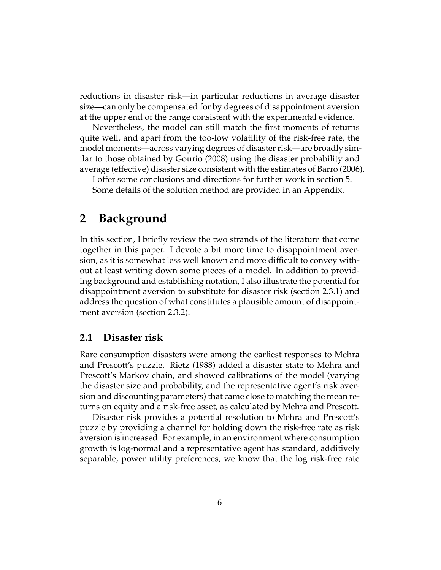reductions in disaster risk—in particular reductions in average disaster size—can only be compensated for by degrees of disappointment aversion at the upper end of the range consistent with the experimental evidence.

Nevertheless, the model can still match the first moments of returns quite well, and apart from the too-low volatility of the risk-free rate, the model moments—across varying degrees of disaster risk—are broadly similar to those obtained by [Gourio](#page-38-1) [\(2008\)](#page-38-1) using the disaster probability and average (effective) disaster size consistent with the estimates of [Barro](#page-37-0) [\(2006\)](#page-37-0).

I offer some conclusions and directions for further work in section [5.](#page-35-0) Some details of the solution method are provided in an Appendix.

### <span id="page-5-0"></span>**2 Background**

In this section, I briefly review the two strands of the literature that come together in this paper. I devote a bit more time to disappointment aversion, as it is somewhat less well known and more difficult to convey without at least writing down some pieces of a model. In addition to providing background and establishing notation, I also illustrate the potential for disappointment aversion to substitute for disaster risk (section [2.3.1\)](#page-10-0) and address the question of what constitutes a plausible amount of disappointment aversion (section [2.3.2\)](#page-11-0).

### **2.1 Disaster risk**

Rare consumption disasters were among the earliest responses to Mehra and Prescott's puzzle. [Rietz](#page-39-1) [\(1988\)](#page-39-1) added a disaster state to Mehra and Prescott's Markov chain, and showed calibrations of the model (varying the disaster size and probability, and the representative agent's risk aversion and discounting parameters) that came close to matching the mean returns on equity and a risk-free asset, as calculated by Mehra and Prescott.

Disaster risk provides a potential resolution to Mehra and Prescott's puzzle by providing a channel for holding down the risk-free rate as risk aversion is increased. For example, in an environment where consumption growth is log-normal and a representative agent has standard, additively separable, power utility preferences, we know that the log risk-free rate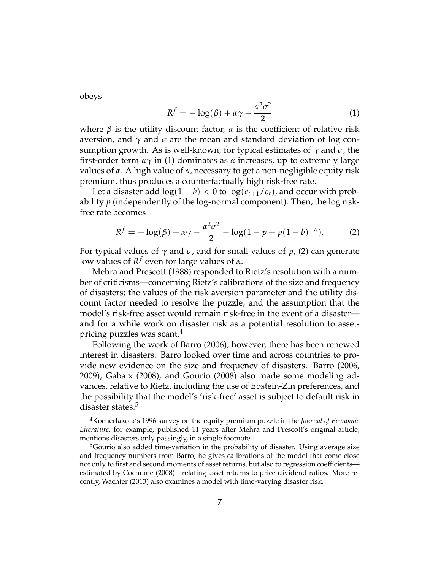<span id="page-6-0"></span>obeys

$$
R^{f} = -\log(\beta) + \alpha \gamma - \frac{\alpha^2 \sigma^2}{2}
$$
 (1)

where  $\beta$  is the utility discount factor,  $\alpha$  is the coefficient of relative risk aversion, and  $\gamma$  and  $\sigma$  are the mean and standard deviation of log consumption growth. As is well-known, for typical estimates of *γ* and *σ*, the first-order term *αγ* in [\(1\)](#page-6-0) dominates as *α* increases, up to extremely large values of *α*. A high value of *α*, necessary to get a non-negligible equity risk premium, thus produces a counterfactually high risk-free rate.

Let a disaster add  $\log(1 - b) < 0$  to  $\log(c_{t+1}/c_t)$ , and occur with probability *p* (independently of the log-normal component). Then, the log riskfree rate becomes

<span id="page-6-1"></span>
$$
R^{f} = -\log(\beta) + \alpha \gamma - \frac{\alpha^{2} \sigma^{2}}{2} - \log(1 - p + p(1 - b)^{-\alpha}).
$$
 (2)

For typical values of  $\gamma$  and  $\sigma$ , and for small values of p, [\(2\)](#page-6-1) can generate low values of *R f* even for large values of *α*.

[Mehra and Prescott](#page-39-9) [\(1988\)](#page-39-9) responded to Rietz's resolution with a number of criticisms—concerning Rietz's calibrations of the size and frequency of disasters; the values of the risk aversion parameter and the utility discount factor needed to resolve the puzzle; and the assumption that the model's risk-free asset would remain risk-free in the event of a disaster and for a while work on disaster risk as a potential resolution to assetpricing puzzles was scant.<sup>4</sup>

Following the work of [Barro](#page-37-0) [\(2006\)](#page-37-0), however, there has been renewed interest in disasters. Barro looked over time and across countries to provide new evidence on the size and frequency of disasters. [Barro](#page-37-0) [\(2006,](#page-37-0) [2009\)](#page-37-4), [Gabaix](#page-38-2) [\(2008\)](#page-38-2), and [Gourio](#page-38-1) [\(2008\)](#page-38-1) also made some modeling advances, relative to Rietz, including the use of Epstein-Zin preferences, and the possibility that the model's 'risk-free' asset is subject to default risk in disaster states.<sup>5</sup>

<sup>4</sup>Kocherlakota's [1996](#page-39-10) survey on the equity premium puzzle in the *Journal of Economic Literature*, for example, published 11 years after Mehra and Prescott's original article, mentions disasters only passingly, in a single footnote.

 $5$ Gourio also added time-variation in the probability of disaster. Using average size and frequency numbers from Barro, he gives calibrations of the model that come close not only to first and second moments of asset returns, but also to regression coefficients estimated by [Cochrane](#page-38-10) [\(2008\)](#page-38-10)—relating asset returns to price-dividend ratios. More recently, [Wachter](#page-39-11) [\(2013\)](#page-39-11) also examines a model with time-varying disaster risk.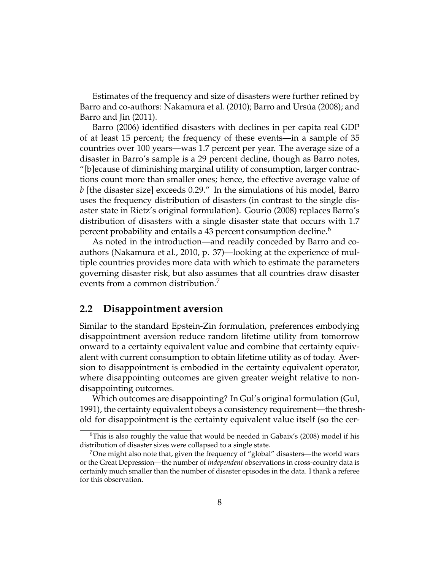Estimates of the frequency and size of disasters were further refined by Barro and co-authors: [Nakamura et al.](#page-39-2) [\(2010\)](#page-39-2); Barro and Ursúa [\(2008\)](#page-37-2); and [Barro and Jin](#page-37-1) [\(2011\)](#page-37-1).

[Barro](#page-37-0) [\(2006\)](#page-37-0) identified disasters with declines in per capita real GDP of at least 15 percent; the frequency of these events—in a sample of 35 countries over 100 years—was 1.7 percent per year. The average size of a disaster in Barro's sample is a 29 percent decline, though as Barro notes, "[b]ecause of diminishing marginal utility of consumption, larger contractions count more than smaller ones; hence, the effective average value of *b* [the disaster size] exceeds 0.29." In the simulations of his model, Barro uses the frequency distribution of disasters (in contrast to the single disaster state in Rietz's original formulation). [Gourio](#page-38-1) [\(2008\)](#page-38-1) replaces Barro's distribution of disasters with a single disaster state that occurs with 1.7 percent probability and entails a 43 percent consumption decline.<sup>6</sup>

As noted in the introduction—and readily conceded by Barro and coauthors [\(Nakamura et al.,](#page-39-2) [2010,](#page-39-2) p. 37)—looking at the experience of multiple countries provides more data with which to estimate the parameters governing disaster risk, but also assumes that all countries draw disaster events from a common distribution.<sup>7</sup>

### **2.2 Disappointment aversion**

Similar to the standard Epstein-Zin formulation, preferences embodying disappointment aversion reduce random lifetime utility from tomorrow onward to a certainty equivalent value and combine that certainty equivalent with current consumption to obtain lifetime utility as of today. Aversion to disappointment is embodied in the certainty equivalent operator, where disappointing outcomes are given greater weight relative to nondisappointing outcomes.

Which outcomes are disappointing? In Gul's original formulation [\(Gul,](#page-38-11) [1991\)](#page-38-11), the certainty equivalent obeys a consistency requirement—the threshold for disappointment is the certainty equivalent value itself (so the cer-

<sup>&</sup>lt;sup>6</sup>This is also roughly the value that would be needed in Gabaix's [\(2008\)](#page-38-2) model if his distribution of disaster sizes were collapsed to a single state.

 $7$ One might also note that, given the frequency of "global" disasters—the world wars or the Great Depression—the number of *independent* observations in cross-country data is certainly much smaller than the number of disaster episodes in the data. I thank a referee for this observation.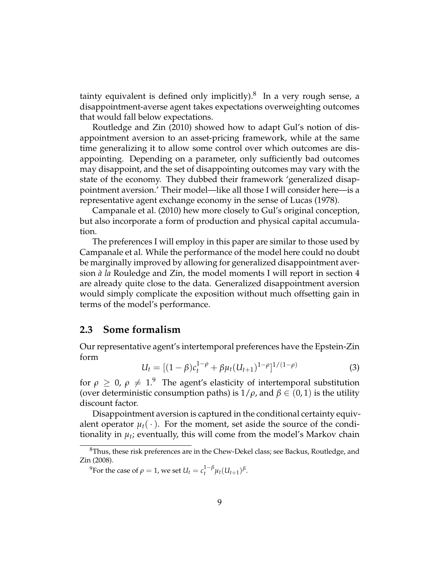tainty equivalent is defined only implicitly). $8$  In a very rough sense, a disappointment-averse agent takes expectations overweighting outcomes that would fall below expectations.

[Routledge and Zin](#page-39-0) [\(2010\)](#page-39-0) showed how to adapt Gul's notion of disappointment aversion to an asset-pricing framework, while at the same time generalizing it to allow some control over which outcomes are disappointing. Depending on a parameter, only sufficiently bad outcomes may disappoint, and the set of disappointing outcomes may vary with the state of the economy. They dubbed their framework 'generalized disappointment aversion.' Their model—like all those I will consider here—is a representative agent exchange economy in the sense of [Lucas](#page-39-12) [\(1978\)](#page-39-12).

[Campanale et al.](#page-38-0) [\(2010\)](#page-38-0) hew more closely to Gul's original conception, but also incorporate a form of production and physical capital accumulation.

The preferences I will employ in this paper are similar to those used by Campanale et al. While the performance of the model here could no doubt be marginally improved by allowing for generalized disappointment aversion *à la* Rouledge and Zin, the model moments I will report in section [4](#page-22-0) are already quite close to the data. Generalized disappointment aversion would simply complicate the exposition without much offsetting gain in terms of the model's performance.

### **2.3 Some formalism**

<span id="page-8-0"></span>Our representative agent's intertemporal preferences have the Epstein-Zin form

$$
U_t = [(1 - \beta)c_t^{1 - \rho} + \beta\mu_t (U_{t+1})^{1 - \rho}]^{1/(1 - \rho)}
$$
\n(3)

for  $\rho \geq 0$ ,  $\rho \neq 1$ .<sup>9</sup> The agent's elasticity of intertemporal substitution (over deterministic consumption paths) is  $1/\rho$ , and  $\beta \in (0,1)$  is the utility discount factor.

Disappointment aversion is captured in the conditional certainty equivalent operator  $\mu_t(\cdot)$ . For the moment, set aside the source of the conditionality in  $\mu_t$ ; eventually, this will come from the model's Markov chain

<sup>9</sup>For the case of  $\rho = 1$ , we set  $U_t = c_t^{1-\beta} \mu_t (U_{t+1})^{\beta}$ .

<sup>&</sup>lt;sup>8</sup>Thus, these risk preferences are in the Chew-Dekel class; see [Backus, Routledge, and](#page-37-5) [Zin](#page-37-5) [\(2008\)](#page-37-5).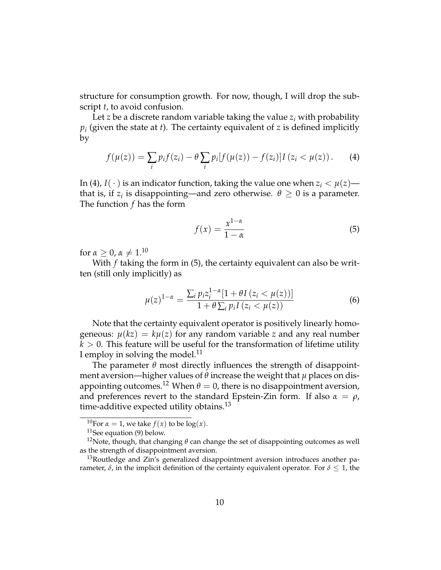structure for consumption growth. For now, though, I will drop the subscript *t*, to avoid confusion.

<span id="page-9-0"></span>Let *z* be a discrete random variable taking the value *z<sup>i</sup>* with probability *pi* (given the state at *t*). The certainty equivalent of *z* is defined implicitly by

$$
f(\mu(z)) = \sum_{i} p_i f(z_i) - \theta \sum_{i} p_i [f(\mu(z)) - f(z_i)] I (z_i < \mu(z)). \tag{4}
$$

In [\(4\)](#page-9-0), *I*( $\cdot$ ) is an indicator function, taking the value one when  $z_i < \mu(z)$  that is, if  $z_i$  is disappointing—and zero otherwise.  $\theta \geq 0$  is a parameter. The function *f* has the form

<span id="page-9-1"></span>
$$
f(x) = \frac{x^{1-\alpha}}{1-\alpha} \tag{5}
$$

for  $\alpha > 0$ ,  $\alpha \neq 1$ .<sup>10</sup>

With *f* taking the form in [\(5\)](#page-9-1), the certainty equivalent can also be written (still only implicitly) as

<span id="page-9-2"></span>
$$
\mu(z)^{1-\alpha} = \frac{\sum_{i} p_{i} z_{i}^{1-\alpha} [1 + \theta I (z_{i} < \mu(z))]}{1 + \theta \sum_{i} p_{i} I (z_{i} < \mu(z))}
$$
(6)

Note that the certainty equivalent operator is positively linearly homogeneous:  $\mu(kz) = k\mu(z)$  for any random variable *z* and any real number  $k > 0$ . This feature will be useful for the transformation of lifetime utility I employ in solving the model.<sup>11</sup>

The parameter *θ* most directly influences the strength of disappointment aversion—higher values of *θ* increase the weight that *µ* places on disappointing outcomes.<sup>12</sup> When  $\theta = 0$ , there is no disappointment aversion, and preferences revert to the standard Epstein-Zin form. If also  $\alpha = \rho$ , time-additive expected utility obtains. $^{13}$ 

<sup>&</sup>lt;sup>10</sup>For  $\alpha = 1$ , we take  $f(x)$  to be log(*x*).

 $11$ See equation [\(9\)](#page-12-0) below.

<sup>&</sup>lt;sup>12</sup>Note, though, that changing  $\theta$  can change the set of disappointing outcomes as well as the strength of disappointment aversion.

<sup>&</sup>lt;sup>13</sup>Routledge and Zin's generalized disappointment aversion introduces another parameter,  $\delta$ , in the implicit definition of the certainty equivalent operator. For  $\delta \leq 1$ , the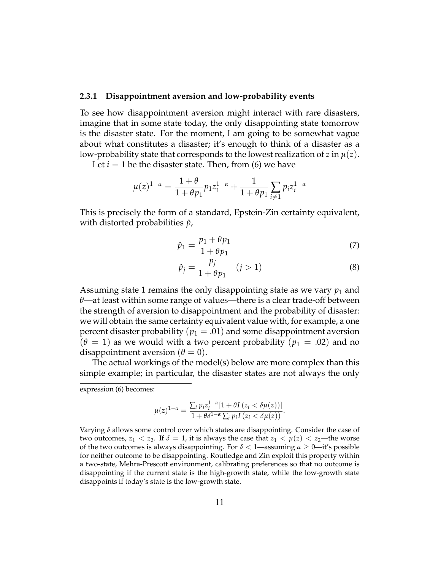#### <span id="page-10-0"></span>**2.3.1 Disappointment aversion and low-probability events**

To see how disappointment aversion might interact with rare disasters, imagine that in some state today, the only disappointing state tomorrow is the disaster state. For the moment, I am going to be somewhat vague about what constitutes a disaster; it's enough to think of a disaster as a low-probability state that corresponds to the lowest realization of *z* in  $\mu(z)$ .

Let  $i = 1$  be the disaster state. Then, from  $(6)$  we have

$$
\mu(z)^{1-\alpha} = \frac{1+\theta}{1+\theta p_1} p_1 z_1^{1-\alpha} + \frac{1}{1+\theta p_1} \sum_{i \neq 1} p_i z_i^{1-\alpha}
$$

This is precisely the form of a standard, Epstein-Zin certainty equivalent, with distorted probabilities *p*ˆ,

$$
\hat{p}_1 = \frac{p_1 + \theta p_1}{1 + \theta p_1} \tag{7}
$$

<span id="page-10-1"></span>
$$
\hat{p}_j = \frac{p_j}{1 + \theta p_1} \quad (j > 1) \tag{8}
$$

.

Assuming state 1 remains the only disappointing state as we vary  $p_1$  and *θ*—at least within some range of values—there is a clear trade-off between the strength of aversion to disappointment and the probability of disaster: we will obtain the same certainty equivalent value with, for example, a one percent disaster probability ( $p_1 = .01$ ) and some disappointment aversion  $(\theta = 1)$  as we would with a two percent probability  $(p_1 = .02)$  and no disappointment aversion  $(\theta = 0)$ .

The actual workings of the model(s) below are more complex than this simple example; in particular, the disaster states are not always the only

$$
\mu(z)^{1-\alpha} = \frac{\sum_{i} p_i z_i^{1-\alpha} [1 + \theta I(z_i < \delta \mu(z))]}{1 + \theta \delta^{1-\alpha} \sum_{i} p_i I(z_i < \delta \mu(z))}
$$

expression [\(6\)](#page-9-2) becomes:

Varying *δ* allows some control over which states are disappointing. Consider the case of two outcomes,  $z_1 < z_2$ . If  $\delta = 1$ , it is always the case that  $z_1 < \mu(z) < z_2$ —the worse of the two outcomes is always disappointing. For *δ* < 1—assuming *α* ≥ 0—it's possible for neither outcome to be disappointing. Routledge and Zin exploit this property within a two-state, Mehra-Prescott environment, calibrating preferences so that no outcome is disappointing if the current state is the high-growth state, while the low-growth state disappoints if today's state is the low-growth state.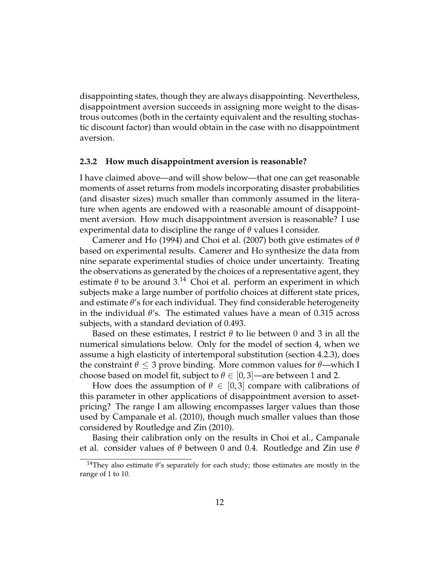disappointing states, though they are always disappointing. Nevertheless, disappointment aversion succeeds in assigning more weight to the disastrous outcomes (both in the certainty equivalent and the resulting stochastic discount factor) than would obtain in the case with no disappointment aversion.

#### <span id="page-11-0"></span>**2.3.2 How much disappointment aversion is reasonable?**

I have claimed above—and will show below—that one can get reasonable moments of asset returns from models incorporating disaster probabilities (and disaster sizes) much smaller than commonly assumed in the literature when agents are endowed with a reasonable amount of disappointment aversion. How much disappointment aversion is reasonable? I use experimental data to discipline the range of *θ* values I consider.

[Camerer and Ho](#page-38-3) [\(1994\)](#page-38-3) and [Choi et al.](#page-38-4) [\(2007\)](#page-38-4) both give estimates of *θ* based on experimental results. Camerer and Ho synthesize the data from nine separate experimental studies of choice under uncertainty. Treating the observations as generated by the choices of a representative agent, they estimate  $\theta$  to be around  $3^{14}$  Choi et al. perform an experiment in which subjects make a large number of portfolio choices at different state prices, and estimate *θ*'s for each individual. They find considerable heterogeneity in the individual *θ*'s. The estimated values have a mean of 0.315 across subjects, with a standard deviation of 0.493.

Based on these estimates, I restrict *θ* to lie between 0 and 3 in all the numerical simulations below. Only for the model of section [4,](#page-22-0) when we assume a high elasticity of intertemporal substitution (section [4.2.3\)](#page-32-0), does the constraint  $\theta \leq 3$  prove binding. More common values for  $\theta$ —which I choose based on model fit, subject to  $\theta \in [0,3]$ —are between 1 and 2.

How does the assumption of  $\theta \in [0,3]$  compare with calibrations of this parameter in other applications of disappointment aversion to assetpricing? The range I am allowing encompasses larger values than those used by [Campanale et al.](#page-38-0) [\(2010\)](#page-38-0), though much smaller values than those considered by [Routledge and Zin](#page-39-0) [\(2010\)](#page-39-0).

Basing their calibration only on the results in Choi et al., Campanale et al. consider values of *θ* between 0 and 0.4. Routledge and Zin use *θ*

<sup>14</sup>They also estimate *θ*'s separately for each study; those estimates are mostly in the range of 1 to 10.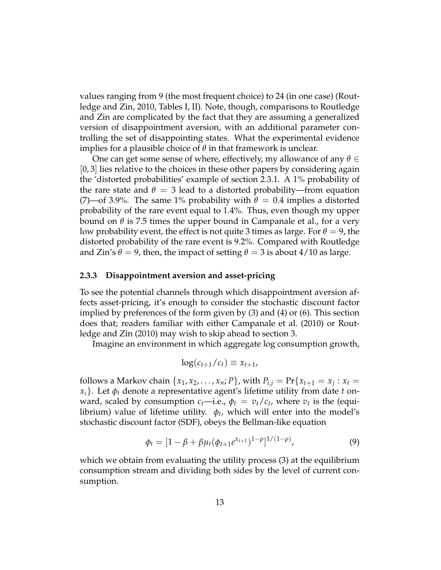values ranging from 9 (the most frequent choice) to 24 (in one case) [\(Rout](#page-39-0)[ledge and Zin,](#page-39-0) [2010,](#page-39-0) Tables I, II). Note, though, comparisons to Routledge and Zin are complicated by the fact that they are assuming a generalized version of disappointment aversion, with an additional parameter controlling the set of disappointing states. What the experimental evidence implies for a plausible choice of  $\theta$  in that framework is unclear.

One can get some sense of where, effectively, my allowance of any *θ* ∈ [0, 3] lies relative to the choices in these other papers by considering again the 'distorted probabilities' example of section [2.3.1.](#page-10-0) A 1% probability of the rare state and  $\theta = 3$  lead to a distorted probability—from equation [\(7\)](#page-10-1)—of 3.9%. The same 1% probability with  $\theta = 0.4$  implies a distorted probability of the rare event equal to 1.4%. Thus, even though my upper bound on  $θ$  is 7.5 times the upper bound in Campanale et al., for a very low probability event, the effect is not quite 3 times as large. For  $\theta = 9$ , the distorted probability of the rare event is 9.2%. Compared with Routledge and Zin's  $\theta = 9$ , then, the impact of setting  $\theta = 3$  is about 4/10 as large.

#### **2.3.3 Disappointment aversion and asset-pricing**

To see the potential channels through which disappointment aversion affects asset-pricing, it's enough to consider the stochastic discount factor implied by preferences of the form given by [\(3\)](#page-8-0) and [\(4\)](#page-9-0) or [\(6\)](#page-9-2). This section does that; readers familiar with either [Campanale et al.](#page-38-0) [\(2010\)](#page-38-0) or [Rout](#page-39-0)[ledge and Zin](#page-39-0) [\(2010\)](#page-39-0) may wish to skip ahead to section [3.](#page-14-0)

Imagine an environment in which aggregate log consumption growth,

<span id="page-12-0"></span>
$$
\log(c_{t+1}/c_t) \equiv x_{t+1},
$$

follows a Markov chain  $\{x_1, x_2, \ldots, x_n; P\}$ , with  $P_{i,j} = \Pr\{x_{t+1} = x_j : x_t =$  $x_i$ . Let  $\phi_t$  denote a representative agent's lifetime utility from date *t* onward, scaled by consumption  $c_t$ —i.e.,  $\phi_t = v_t/c_t$ , where  $v_t$  is the (equilibrium) value of lifetime utility. *φ<sup>t</sup>* , which will enter into the model's stochastic discount factor (SDF), obeys the Bellman-like equation

$$
\phi_t = [1 - \beta + \beta \mu_t (\phi_{t+1} e^{x_{t+1}})^{1-\rho}]^{1/(1-\rho)}, \tag{9}
$$

which we obtain from evaluating the utility process [\(3\)](#page-8-0) at the equilibrium consumption stream and dividing both sides by the level of current consumption.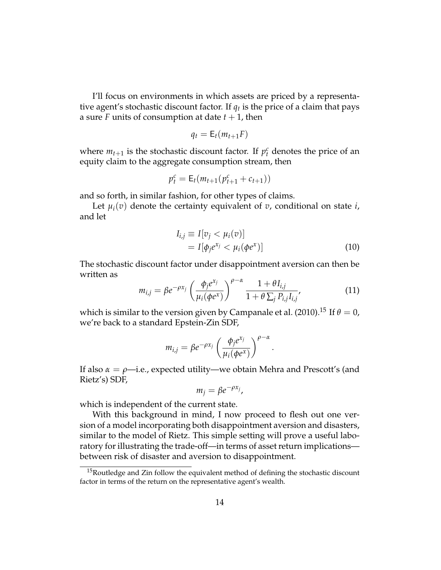I'll focus on environments in which assets are priced by a representative agent's stochastic discount factor. If  $q_t$  is the price of a claim that pays a sure *F* units of consumption at date  $t + 1$ , then

$$
q_t = \mathsf{E}_t(m_{t+1}F)
$$

where  $m_{t+1}$  is the stochastic discount factor. If  $p_t^c$  denotes the price of an equity claim to the aggregate consumption stream, then

$$
p_t^c = \mathsf{E}_t(m_{t+1}(p_{t+1}^c + c_{t+1}))
$$

and so forth, in similar fashion, for other types of claims.

Let  $\mu_i(v)$  denote the certainty equivalent of *v*, conditional on state *i*, and let

$$
I_{i,j} \equiv I[v_j < \mu_i(v)]
$$
\n
$$
= I[\phi_j e^{x_j} < \mu_i(\phi e^x)]
$$
\n
$$
(10)
$$

<span id="page-13-0"></span>.

The stochastic discount factor under disappointment aversion can then be written as

$$
m_{i,j} = \beta e^{-\rho x_j} \left( \frac{\phi_j e^{x_j}}{\mu_i(\phi e^x)} \right)^{\rho - \alpha} \frac{1 + \theta I_{i,j}}{1 + \theta \sum_j P_{i,j} I_{i,j}},
$$
(11)

which is similar to the version given by [Campanale et al.](#page-38-0) [\(2010\)](#page-38-0).<sup>15</sup> If  $\theta = 0$ , we're back to a standard Epstein-Zin SDF,

$$
m_{i,j} = \beta e^{-\rho x_j} \left( \frac{\phi_j e^{x_j}}{\mu_i(\phi e^x)} \right)^{\rho - \alpha}
$$

If also *α* = *ρ*—i.e., expected utility—we obtain Mehra and Prescott's (and Rietz's) SDF,

$$
m_j = \beta e^{-\rho x_j},
$$

which is independent of the current state.

With this background in mind, I now proceed to flesh out one version of a model incorporating both disappointment aversion and disasters, similar to the model of Rietz. This simple setting will prove a useful laboratory for illustrating the trade-off—in terms of asset return implications between risk of disaster and aversion to disappointment.

<sup>&</sup>lt;sup>15</sup>Routledge and Zin follow the equivalent method of defining the stochastic discount factor in terms of the return on the representative agent's wealth.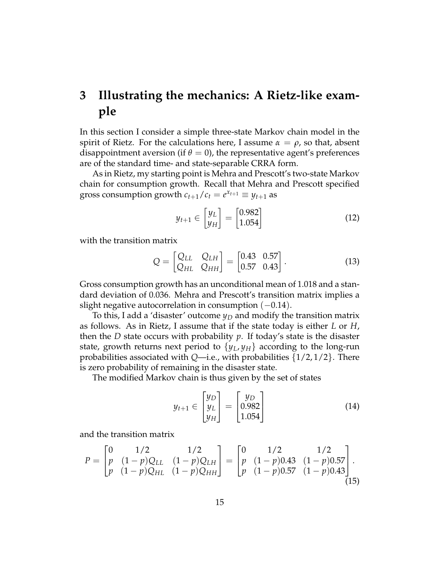## <span id="page-14-0"></span>**3 Illustrating the mechanics: A Rietz-like example**

In this section I consider a simple three-state Markov chain model in the spirit of Rietz. For the calculations here, I assume  $\alpha = \rho$ , so that, absent disappointment aversion (if  $\theta = 0$ ), the representative agent's preferences are of the standard time- and state-separable CRRA form.

As in Rietz, my starting point is Mehra and Prescott's two-state Markov chain for consumption growth. Recall that Mehra and Prescott specified gross consumption growth  $c_{t+1}/c_t = e^{x_{t+1}} \equiv y_{t+1}$  as

<span id="page-14-4"></span><span id="page-14-3"></span>
$$
y_{t+1} \in \begin{bmatrix} y_L \\ y_H \end{bmatrix} = \begin{bmatrix} 0.982 \\ 1.054 \end{bmatrix} \tag{12}
$$

with the transition matrix

$$
Q = \begin{bmatrix} Q_{LL} & Q_{LH} \\ Q_{HL} & Q_{HH} \end{bmatrix} = \begin{bmatrix} 0.43 & 0.57 \\ 0.57 & 0.43 \end{bmatrix}.
$$
 (13)

Gross consumption growth has an unconditional mean of 1.018 and a standard deviation of 0.036. Mehra and Prescott's transition matrix implies a slight negative autocorrelation in consumption  $(-0.14)$ .

To this, I add a 'disaster' outcome *y<sup>D</sup>* and modify the transition matrix as follows. As in Rietz, I assume that if the state today is either *L* or *H*, then the *D* state occurs with probability *p*. If today's state is the disaster state, growth returns next period to  $\{y_L, y_H\}$  according to the long-run probabilities associated with *Q*—i.e., with probabilities {1/2, 1/2}. There is zero probability of remaining in the disaster state.

The modified Markov chain is thus given by the set of states

<span id="page-14-2"></span><span id="page-14-1"></span>
$$
y_{t+1} \in \begin{bmatrix} y_D \\ y_L \\ y_H \end{bmatrix} = \begin{bmatrix} y_D \\ 0.982 \\ 1.054 \end{bmatrix}
$$
 (14)

and the transition matrix

$$
P = \begin{bmatrix} 0 & 1/2 & 1/2 \\ p & (1-p)Q_{LL} & (1-p)Q_{LH} \\ p & (1-p)Q_{HL} & (1-p)Q_{HH} \end{bmatrix} = \begin{bmatrix} 0 & 1/2 & 1/2 \\ p & (1-p)0.43 & (1-p)0.57 \\ p & (1-p)0.57 & (1-p)0.43 \end{bmatrix}.
$$
\n(15)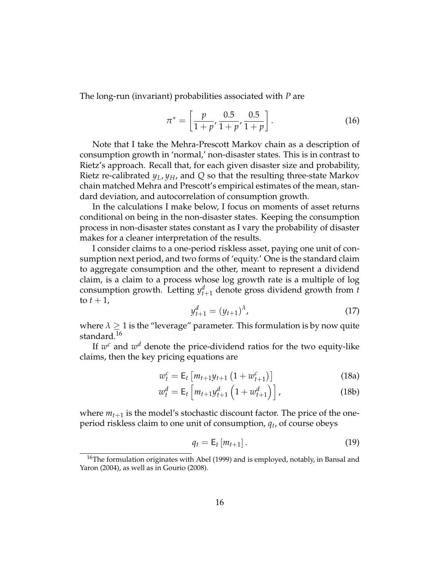The long-run (invariant) probabilities associated with *P* are

$$
\pi^* = \left[\frac{p}{1+p'}, \frac{0.5}{1+p'}, \frac{0.5}{1+p}\right].
$$
 (16)

Note that I take the Mehra-Prescott Markov chain as a description of consumption growth in 'normal,' non-disaster states. This is in contrast to Rietz's approach. Recall that, for each given disaster size and probability, Rietz re-calibrated  $y_L$ ,  $y_H$ , and Q so that the resulting three-state Markov chain matched Mehra and Prescott's empirical estimates of the mean, standard deviation, and autocorrelation of consumption growth.

In the calculations I make below, I focus on moments of asset returns conditional on being in the non-disaster states. Keeping the consumption process in non-disaster states constant as I vary the probability of disaster makes for a cleaner interpretation of the results.

I consider claims to a one-period riskless asset, paying one unit of consumption next period, and two forms of 'equity.' One is the standard claim to aggregate consumption and the other, meant to represent a dividend claim, is a claim to a process whose log growth rate is a multiple of log consumption growth. Letting  $y_{t+1}^d$  denote gross dividend growth from *t* to  $t + 1$ ,

<span id="page-15-0"></span>
$$
y_{t+1}^d = (y_{t+1})^{\lambda}, \tag{17}
$$

<span id="page-15-3"></span>where  $\lambda \geq 1$  is the "leverage" parameter. This formulation is by now quite standard.<sup>16</sup>

If  $w^c$  and  $w^d$  denote the price-dividend ratios for the two equity-like claims, then the key pricing equations are

$$
w_t^c = \mathsf{E}_t \left[ m_{t+1} y_{t+1} \left( 1 + w_{t+1}^c \right) \right] \tag{18a}
$$

$$
w_t^d = \mathsf{E}_t \left[ m_{t+1} y_{t+1}^d \left( 1 + w_{t+1}^d \right) \right], \tag{18b}
$$

where  $m_{t+1}$  is the model's stochastic discount factor. The price of the oneperiod riskless claim to one unit of consumption, *q<sup>t</sup>* , of course obeys

<span id="page-15-2"></span><span id="page-15-1"></span>
$$
q_t = \mathsf{E}_t\left[m_{t+1}\right].\tag{19}
$$

<sup>&</sup>lt;sup>16</sup>The formulation originates with [Abel](#page-37-6) [\(1999\)](#page-37-6) and is employed, notably, in [Bansal and](#page-37-3) [Yaron](#page-37-3) [\(2004\)](#page-37-3), as well as in [Gourio](#page-38-1) [\(2008\)](#page-38-1).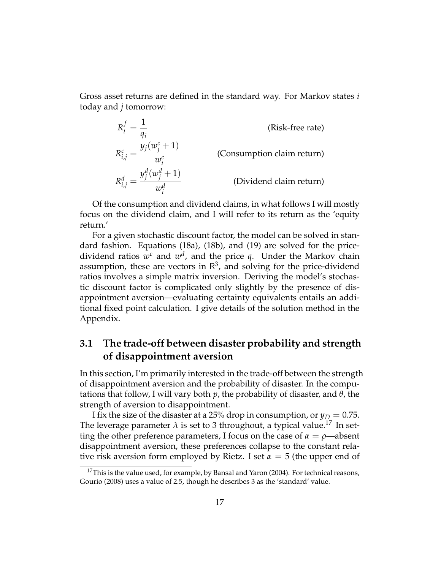Gross asset returns are defined in the standard way. For Markov states *i* today and *j* tomorrow:

$$
R_{i}^{f} = \frac{1}{q_{i}}
$$
 (Risk-free rate)  
\n
$$
R_{i,j}^{c} = \frac{y_{j}(w_{j}^{c} + 1)}{w_{i}^{c}}
$$
 (Consumption claim return)  
\n
$$
R_{i,j}^{d} = \frac{y_{j}^{d}(w_{j}^{d} + 1)}{w_{i}^{d}}
$$
 (Dividend claim return)

Of the consumption and dividend claims, in what follows I will mostly focus on the dividend claim, and I will refer to its return as the 'equity return.'

For a given stochastic discount factor, the model can be solved in standard fashion. Equations [\(18a\)](#page-15-0), [\(18b\)](#page-15-1), and [\(19\)](#page-15-2) are solved for the pricedividend ratios  $w^c$  and  $w^d$ , and the price q. Under the Markov chain assumption, these are vectors in  $\mathbb{R}^3$ , and solving for the price-dividend ratios involves a simple matrix inversion. Deriving the model's stochastic discount factor is complicated only slightly by the presence of disappointment aversion—evaluating certainty equivalents entails an additional fixed point calculation. I give details of the solution method in the Appendix.

### **3.1 The trade-off between disaster probability and strength of disappointment aversion**

In this section, I'm primarily interested in the trade-off between the strength of disappointment aversion and the probability of disaster. In the computations that follow, I will vary both *p*, the probability of disaster, and *θ*, the strength of aversion to disappointment.

I fix the size of the disaster at a 25% drop in consumption, or  $y_D = 0.75$ . The leverage parameter  $\lambda$  is set to 3 throughout, a typical value.<sup>17</sup> In setting the other preference parameters, I focus on the case of  $\alpha = \rho$ —absent disappointment aversion, these preferences collapse to the constant relative risk aversion form employed by Rietz. I set  $\alpha = 5$  (the upper end of

<sup>&</sup>lt;sup>17</sup>This is the value used, for example, by [Bansal and Yaron](#page-37-3) [\(2004\)](#page-37-3). For technical reasons, [Gourio](#page-38-1) [\(2008\)](#page-38-1) uses a value of 2.5, though he describes 3 as the 'standard' value.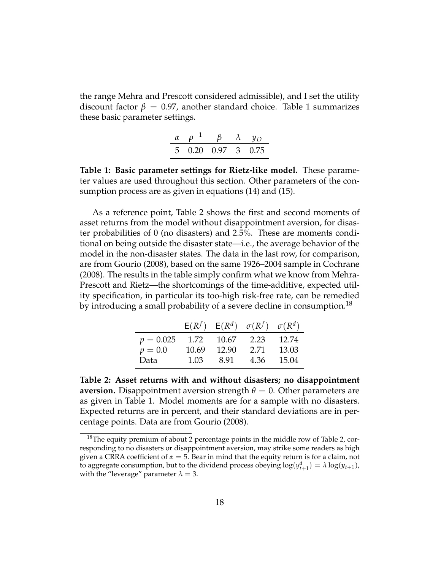<span id="page-17-0"></span>the range Mehra and Prescott considered admissible), and I set the utility discount factor  $\beta = 0.97$ , another standard choice. Table [1](#page-17-0) summarizes these basic parameter settings.

|                    |  | $\beta$ $\lambda$ $\psi_D$ |
|--------------------|--|----------------------------|
| 5 0.20 0.97 3 0.75 |  |                            |

**Table 1: Basic parameter settings for Rietz-like model.** These parameter values are used throughout this section. Other parameters of the consumption process are as given in equations [\(14\)](#page-14-1) and [\(15\)](#page-14-2).

As a reference point, Table [2](#page-17-1) shows the first and second moments of asset returns from the model without disappointment aversion, for disaster probabilities of 0 (no disasters) and 2.5%. These are moments conditional on being outside the disaster state—i.e., the average behavior of the model in the non-disaster states. The data in the last row, for comparison, are from [Gourio](#page-38-1) [\(2008\)](#page-38-1), based on the same 1926–2004 sample in [Cochrane](#page-38-10) [\(2008\)](#page-38-10). The results in the table simply confirm what we know from Mehra-Prescott and Rietz—the shortcomings of the time-additive, expected utility specification, in particular its too-high risk-free rate, can be remedied by introducing a small probability of a severe decline in consumption.<sup>18</sup>

<span id="page-17-1"></span>

|                                   |       |       | $E(R^f)$ $E(R^d)$ $\sigma(R^f)$ $\sigma(R^d)$ |       |
|-----------------------------------|-------|-------|-----------------------------------------------|-------|
| $p = 0.025$ 1.72 10.67 2.23 12.74 |       |       |                                               |       |
| $p=0.0$                           | 10.69 | 12.90 | 2.71                                          | 13.03 |
| Data                              | 1.03  | 8.91  | 4.36                                          | 15.04 |

**Table 2: Asset returns with and without disasters; no disappointment aversion.** Disappointment aversion strength  $\theta = 0$ . Other parameters are as given in Table [1.](#page-17-0) Model moments are for a sample with no disasters. Expected returns are in percent, and their standard deviations are in percentage points. Data are from [Gourio](#page-38-1) [\(2008\)](#page-38-1).

 $18$ The equity premium of about 2 percentage points in the middle row of Table [2,](#page-17-1) corresponding to no disasters or disappointment aversion, may strike some readers as high given a CRRA coefficient of  $\alpha = 5$ . Bear in mind that the equity return is for a claim, not to aggregate consumption, but to the dividend process obeying  $\log(y_{t+1}^d) = \lambda \log(y_{t+1})$ , with the "leverage" parameter  $\lambda = 3$ .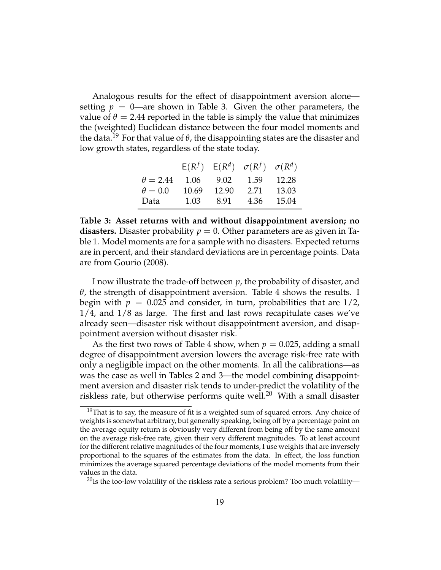Analogous results for the effect of disappointment aversion alone setting  $p = 0$ —are shown in Table [3.](#page-18-0) Given the other parameters, the value of  $\theta = 2.44$  reported in the table is simply the value that minimizes the (weighted) Euclidean distance between the four model moments and the data.<sup>19</sup> For that value of  $\theta$ , the disappointing states are the disaster and low growth states, regardless of the state today.

<span id="page-18-0"></span>

|                 |       |       | $E(R^f)$ $E(R^d)$ $\sigma(R^f)$ $\sigma(R^d)$ |       |
|-----------------|-------|-------|-----------------------------------------------|-------|
| $\theta = 2.44$ | 1.06  | 9.02  | 1.59                                          | 12.28 |
| $\theta = 0.0$  | 10.69 | 12.90 | 2.71                                          | 13.03 |
| Data            | 1.03  | 8.91  | 4.36                                          | 15.04 |

**Table 3: Asset returns with and without disappointment aversion; no disasters.** Disaster probability  $p = 0$ . Other parameters are as given in Table [1.](#page-17-0) Model moments are for a sample with no disasters. Expected returns are in percent, and their standard deviations are in percentage points. Data are from [Gourio](#page-38-1) [\(2008\)](#page-38-1).

I now illustrate the trade-off between *p*, the probability of disaster, and *θ*, the strength of disappointment aversion. Table [4](#page-19-0) shows the results. I begin with  $p = 0.025$  and consider, in turn, probabilities that are  $1/2$ , 1/4, and 1/8 as large. The first and last rows recapitulate cases we've already seen—disaster risk without disappointment aversion, and disappointment aversion without disaster risk.

As the first two rows of Table [4](#page-19-0) show, when  $p = 0.025$ , adding a small degree of disappointment aversion lowers the average risk-free rate with only a negligible impact on the other moments. In all the calibrations—as was the case as well in Tables [2](#page-17-1) and [3—](#page-18-0)the model combining disappointment aversion and disaster risk tends to under-predict the volatility of the riskless rate, but otherwise performs quite well.<sup>20</sup> With a small disaster

<sup>&</sup>lt;sup>19</sup>That is to say, the measure of fit is a weighted sum of squared errors. Any choice of weights is somewhat arbitrary, but generally speaking, being off by a percentage point on the average equity return is obviously very different from being off by the same amount on the average risk-free rate, given their very different magnitudes. To at least account for the different relative magnitudes of the four moments, I use weights that are inversely proportional to the squares of the estimates from the data. In effect, the loss function minimizes the average squared percentage deviations of the model moments from their values in the data.

<sup>&</sup>lt;sup>20</sup>Is the too-low volatility of the riskless rate a serious problem? Too much volatility—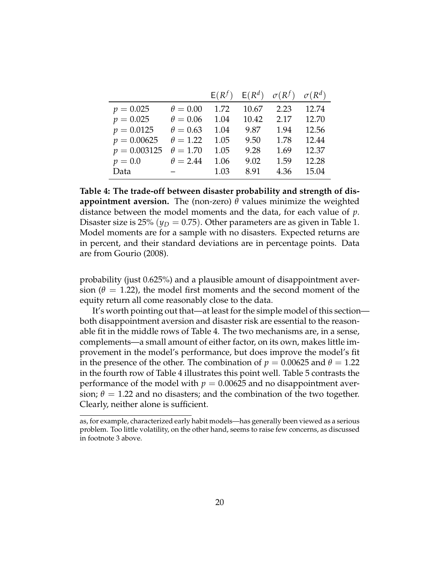<span id="page-19-0"></span>

|                |                 | $E(R^f)$ | $E(R^d)$ | $\sigma(R^f)$ | $\sigma(R^d)$ |
|----------------|-----------------|----------|----------|---------------|---------------|
| $p = 0.025$    | $\theta = 0.00$ | 1.72     | 10.67    | 2.23          | 12.74         |
| $p = 0.025$    | $\theta = 0.06$ | 1.04     | 10.42    | 2.17          | 12.70         |
| $p = 0.0125$   | $\theta = 0.63$ | 1.04     | 9.87     | 1.94          | 12.56         |
| $p = 0.00625$  | $\theta = 1.22$ | 1.05     | 9.50     | 1.78          | 12.44         |
| $p = 0.003125$ | $\theta = 1.70$ | 1.05     | 9.28     | 1.69          | 12.37         |
| $p=0.0$        | $\theta = 2.44$ | 1.06     | 9.02     | 1.59          | 12.28         |
| Data           |                 | 1.03     | 8.91     | 4.36          | 15.04         |

**Table 4: The trade-off between disaster probability and strength of disappointment aversion.** The (non-zero)  $\theta$  values minimize the weighted distance between the model moments and the data, for each value of *p*. Disaster size is 25% ( $y_D = 0.75$ ). Other parameters are as given in Table [1.](#page-17-0) Model moments are for a sample with no disasters. Expected returns are in percent, and their standard deviations are in percentage points. Data are from [Gourio](#page-38-1) [\(2008\)](#page-38-1).

probability (just 0.625%) and a plausible amount of disappointment aversion ( $\theta = 1.22$ ), the model first moments and the second moment of the equity return all come reasonably close to the data.

It's worth pointing out that—at least for the simple model of this section both disappointment aversion and disaster risk are essential to the reasonable fit in the middle rows of Table [4.](#page-19-0) The two mechanisms are, in a sense, complements—a small amount of either factor, on its own, makes little improvement in the model's performance, but does improve the model's fit in the presence of the other. The combination of  $p = 0.00625$  and  $\theta = 1.22$ in the fourth row of Table [4](#page-19-0) illustrates this point well. Table [5](#page-20-0) contrasts the performance of the model with  $p = 0.00625$  and no disappointment aversion;  $\theta = 1.22$  and no disasters; and the combination of the two together. Clearly, neither alone is sufficient.

as, for example, characterized early habit models—has generally been viewed as a serious problem. Too little volatility, on the other hand, seems to raise few concerns, as discussed in footnote [3](#page-1-0) above.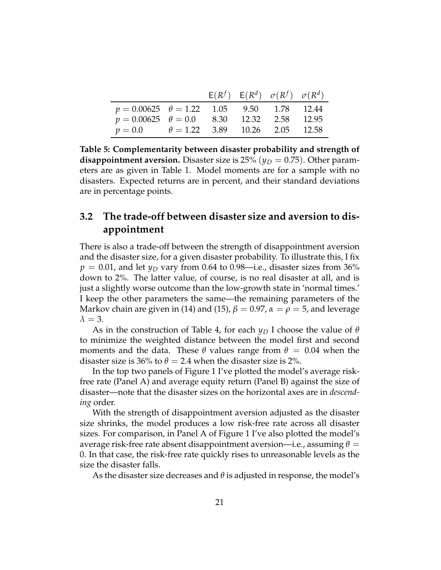<span id="page-20-0"></span>

|                                                    |  | $E(R^f)$ $E(R^d)$ $\sigma(R^f)$ $\sigma(R^d)$ |  |
|----------------------------------------------------|--|-----------------------------------------------|--|
| $p = 0.00625$ $\theta = 1.22$ 1.05 9.50 1.78 12.44 |  |                                               |  |
| $p = 0.00625$ $\theta = 0.0$ 8.30 12.32 2.58 12.95 |  |                                               |  |
| $p = 0.0$ $\theta = 1.22$ 3.89 10.26 2.05 12.58    |  |                                               |  |

**Table 5: Complementarity between disaster probability and strength of disappointment aversion.** Disaster size is  $25\%$  ( $y_D = 0.75$ ). Other parameters are as given in Table [1.](#page-17-0) Model moments are for a sample with no disasters. Expected returns are in percent, and their standard deviations are in percentage points.

### **3.2 The trade-off between disaster size and aversion to disappointment**

There is also a trade-off between the strength of disappointment aversion and the disaster size, for a given disaster probability. To illustrate this, I fix  $p = 0.01$ , and let  $y_D$  vary from 0.64 to 0.98—i.e., disaster sizes from 36% down to 2%. The latter value, of course, is no real disaster at all, and is just a slightly worse outcome than the low-growth state in 'normal times.' I keep the other parameters the same—the remaining parameters of the Markov chain are given in [\(14\)](#page-14-1) and [\(15\)](#page-14-2),  $\beta = 0.97$ ,  $\alpha = \rho = 5$ , and leverage  $\lambda = 3$ .

As in the construction of Table [4,](#page-19-0) for each *y<sup>D</sup>* I choose the value of *θ* to minimize the weighted distance between the model first and second moments and the data. These  $\theta$  values range from  $\theta = 0.04$  when the disaster size is 36% to  $\theta = 2.4$  when the disaster size is 2%.

In the top two panels of Figure [1](#page-21-0) I've plotted the model's average riskfree rate (Panel A) and average equity return (Panel B) against the size of disaster—note that the disaster sizes on the horizontal axes are in *descending* order.

With the strength of disappointment aversion adjusted as the disaster size shrinks, the model produces a low risk-free rate across all disaster sizes. For comparison, in Panel A of Figure [1](#page-21-0) I've also plotted the model's average risk-free rate absent disappointment aversion—i.e., assuming  $\theta =$ 0. In that case, the risk-free rate quickly rises to unreasonable levels as the size the disaster falls.

As the disaster size decreases and *θ* is adjusted in response, the model's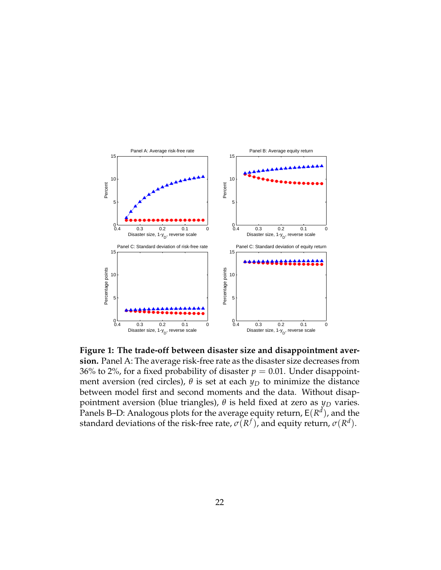<span id="page-21-0"></span>

**Figure 1: The trade-off between disaster size and disappointment aversion.** Panel A: The average risk-free rate as the disaster size decreases from 36% to 2%, for a fixed probability of disaster  $p = 0.01$ . Under disappointment aversion (red circles),  $\theta$  is set at each  $y_D$  to minimize the distance between model first and second moments and the data. Without disappointment aversion (blue triangles), *θ* is held fixed at zero as *y<sup>D</sup>* varies. Panels B–D: Analogous plots for the average equity return*,*  $\mathsf{E}(R^{d})$ , and the standard deviations of the risk-free rate,  $\sigma(R^f)$ , and equity return,  $\sigma(R^d).$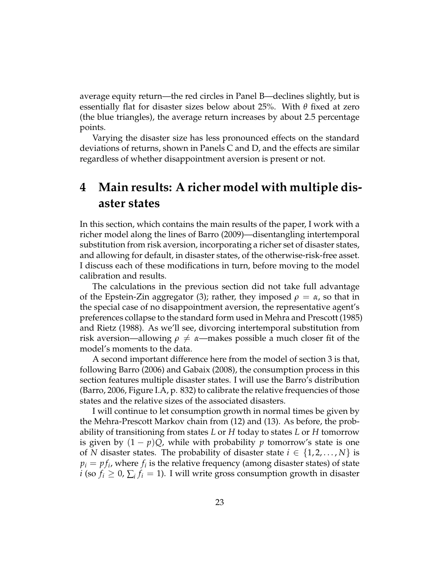average equity return—the red circles in Panel B—declines slightly, but is essentially flat for disaster sizes below about 25%. With *θ* fixed at zero (the blue triangles), the average return increases by about 2.5 percentage points.

Varying the disaster size has less pronounced effects on the standard deviations of returns, shown in Panels C and D, and the effects are similar regardless of whether disappointment aversion is present or not.

## <span id="page-22-0"></span>**4 Main results: A richer model with multiple disaster states**

In this section, which contains the main results of the paper, I work with a richer model along the lines of [Barro](#page-37-4) [\(2009\)](#page-37-4)—disentangling intertemporal substitution from risk aversion, incorporating a richer set of disaster states, and allowing for default, in disaster states, of the otherwise-risk-free asset. I discuss each of these modifications in turn, before moving to the model calibration and results.

The calculations in the previous section did not take full advantage of the Epstein-Zin aggregator [\(3\)](#page-8-0); rather, they imposed  $\rho = \alpha$ , so that in the special case of no disappointment aversion, the representative agent's preferences collapse to the standard form used in [Mehra and Prescott](#page-39-4) [\(1985\)](#page-39-4) and [Rietz](#page-39-1) [\(1988\)](#page-39-1). As we'll see, divorcing intertemporal substitution from risk aversion—allowing  $\rho \neq \alpha$ —makes possible a much closer fit of the model's moments to the data.

A second important difference here from the model of section [3](#page-14-0) is that, following [Barro](#page-37-0) [\(2006\)](#page-37-0) and [Gabaix](#page-38-2) [\(2008\)](#page-38-2), the consumption process in this section features multiple disaster states. I will use the Barro's distribution [\(Barro,](#page-37-0) [2006,](#page-37-0) Figure I.A, p. 832) to calibrate the relative frequencies of those states and the relative sizes of the associated disasters.

I will continue to let consumption growth in normal times be given by the Mehra-Prescott Markov chain from [\(12\)](#page-14-3) and [\(13\)](#page-14-4). As before, the probability of transitioning from states *L* or *H* today to states *L* or *H* tomorrow is given by  $(1 - p)Q$ , while with probability p tomorrow's state is one of *N* disaster states. The probability of disaster state  $i \in \{1, 2, \ldots, N\}$  is  $p_i = pf_i$ , where  $f_i$  is the relative frequency (among disaster states) of state *i* (so  $f_i \geq 0$ ,  $\sum_i f_i = 1$ ). I will write gross consumption growth in disaster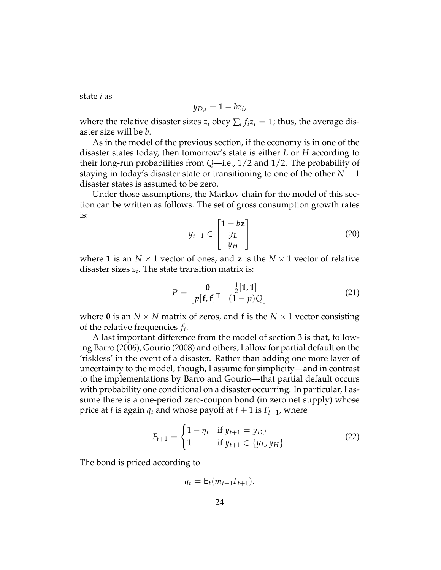state *i* as

$$
y_{D,i}=1-bz_i,
$$

where the relative disaster sizes  $z_i$  obey  $\sum_i f_i z_i = 1$ ; thus, the average disaster size will be *b*.

As in the model of the previous section, if the economy is in one of the disaster states today, then tomorrow's state is either *L* or *H* according to their long-run probabilities from *Q*—i.e., 1/2 and 1/2. The probability of staying in today's disaster state or transitioning to one of the other *N* − 1 disaster states is assumed to be zero.

<span id="page-23-1"></span>Under those assumptions, the Markov chain for the model of this section can be written as follows. The set of gross consumption growth rates is:

<span id="page-23-2"></span>
$$
y_{t+1} \in \begin{bmatrix} 1 - bz \\ y_L \\ y_H \end{bmatrix}
$$
 (20)

where 1 is an  $N \times 1$  vector of ones, and **z** is the  $N \times 1$  vector of relative disaster sizes *z<sup>i</sup>* . The state transition matrix is:

$$
P = \begin{bmatrix} \mathbf{0} & \frac{1}{2}[\mathbf{1}, \mathbf{1}] \\ p[\mathbf{f}, \mathbf{f}]^\top & (1 - p)Q \end{bmatrix} \tag{21}
$$

where **0** is an  $N \times N$  matrix of zeros, and **f** is the  $N \times 1$  vector consisting of the relative frequencies *f<sup>i</sup>* .

A last important difference from the model of section [3](#page-14-0) is that, following [Barro](#page-37-0) [\(2006\)](#page-37-0), [Gourio](#page-38-1) [\(2008\)](#page-38-1) and others, I allow for partial default on the 'riskless' in the event of a disaster. Rather than adding one more layer of uncertainty to the model, though, I assume for simplicity—and in contrast to the implementations by Barro and Gourio—that partial default occurs with probability one conditional on a disaster occurring. In particular, I assume there is a one-period zero-coupon bond (in zero net supply) whose price at *t* is again  $q_t$  and whose payoff at  $t + 1$  is  $F_{t+1}$ , where

$$
F_{t+1} = \begin{cases} 1 - \eta_i & \text{if } y_{t+1} = y_{D,i} \\ 1 & \text{if } y_{t+1} \in \{y_L, y_H\} \end{cases}
$$
 (22)

The bond is priced according to

<span id="page-23-0"></span> $q_t = E_t(m_{t+1}F_{t+1}).$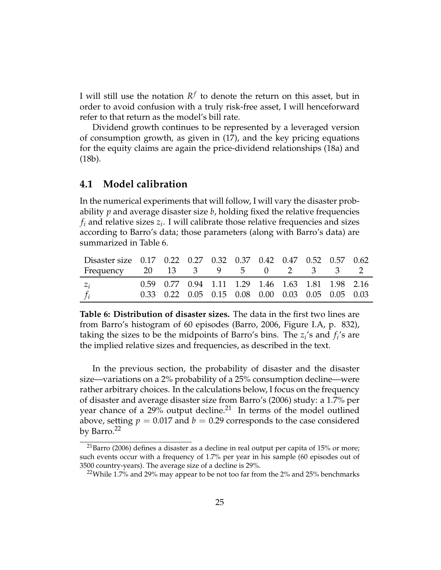I will still use the notation  $R^f$  to denote the return on this asset, but in order to avoid confusion with a truly risk-free asset, I will henceforward refer to that return as the model's bill rate.

Dividend growth continues to be represented by a leveraged version of consumption growth, as given in [\(17\)](#page-15-3), and the key pricing equations for the equity claims are again the price-dividend relationships [\(18a\)](#page-15-0) and [\(18b\)](#page-15-1).

### **4.1 Model calibration**

In the numerical experiments that will follow, I will vary the disaster probability *p* and average disaster size *b*, holding fixed the relative frequencies  $f_i$  and relative sizes  $z_i$ . I will calibrate those relative frequencies and sizes according to Barro's data; those parameters (along with Barro's data) are summarized in Table [6.](#page-24-0)

<span id="page-24-0"></span>

| Disaster size 0.17 0.22 0.27 0.32 0.37 0.42 0.47 0.52 0.57 0.62 |  |                                                   |  |  |  |  |
|-----------------------------------------------------------------|--|---------------------------------------------------|--|--|--|--|
| Frequency 20 13 3 9 5 0 2 3 3 2                                 |  |                                                   |  |  |  |  |
| $Z_i$                                                           |  | 0.59 0.77 0.94 1.11 1.29 1.46 1.63 1.81 1.98 2.16 |  |  |  |  |
| $-f_i$                                                          |  | 0.33 0.22 0.05 0.15 0.08 0.00 0.03 0.05 0.05 0.03 |  |  |  |  |

**Table 6: Distribution of disaster sizes.** The data in the first two lines are from Barro's histogram of 60 episodes [\(Barro,](#page-37-0) [2006,](#page-37-0) Figure I.A, p. 832), taking the sizes to be the midpoints of Barro's bins. The  $z_i$ 's and  $f_i$ 's are the implied relative sizes and frequencies, as described in the text.

In the previous section, the probability of disaster and the disaster size—variations on a 2% probability of a 25% consumption decline—were rather arbitrary choices. In the calculations below, I focus on the frequency of disaster and average disaster size from Barro's [\(2006\)](#page-37-0) study: a 1.7% per year chance of a 29% output decline.<sup>21</sup> In terms of the model outlined above, setting  $p = 0.017$  and  $b = 0.29$  corresponds to the case considered by Barro.<sup>22</sup>

 $21$ [Barro](#page-37-0) [\(2006\)](#page-37-0) defines a disaster as a decline in real output per capita of 15% or more; such events occur with a frequency of 1.7% per year in his sample (60 episodes out of 3500 country-years). The average size of a decline is 29%.

<sup>&</sup>lt;sup>22</sup>While 1.7% and 29% may appear to be not too far from the 2% and 25% benchmarks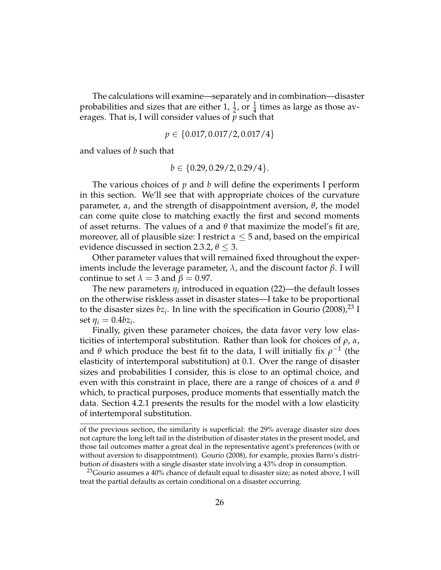The calculations will examine—separately and in combination—disaster probabilities and sizes that are either 1,  $\frac{1}{2}$ , or  $\frac{1}{4}$  times as large as those averages. That is, I will consider values of *p* such that

$$
p \in \{0.017, 0.017/2, 0.017/4\}
$$

and values of *b* such that

$$
b \in \{0.29, 0.29/2, 0.29/4\}.
$$

The various choices of *p* and *b* will define the experiments I perform in this section. We'll see that with appropriate choices of the curvature parameter, *α*, and the strength of disappointment aversion, *θ*, the model can come quite close to matching exactly the first and second moments of asset returns. The values of *α* and *θ* that maximize the model's fit are, moreover, all of plausible size: I restrict  $\alpha \leq 5$  and, based on the empirical evidence discussed in section [2.3.2,](#page-11-0)  $\theta \leq 3$ .

Other parameter values that will remained fixed throughout the experiments include the leverage parameter, *λ*, and the discount factor *β*. I will continue to set  $\lambda = 3$  and  $\beta = 0.97$ .

The new parameters  $\eta_i$  introduced in equation [\(22\)](#page-23-0)—the default losses on the otherwise riskless asset in disaster states—I take to be proportional to the disaster sizes  $bz_i$ . In line with the specification in [Gourio](#page-38-1) [\(2008\)](#page-38-1),<sup>23</sup> I set  $\eta_i = 0.4bz_i$ .

Finally, given these parameter choices, the data favor very low elasticities of intertemporal substitution. Rather than look for choices of *ρ*, *α*, and  $\theta$  which produce the best fit to the data, I will initially fix  $\rho^{-1}$  (the elasticity of intertemporal substitution) at 0.1. Over the range of disaster sizes and probabilities I consider, this is close to an optimal choice, and even with this constraint in place, there are a range of choices of *α* and *θ* which, to practical purposes, produce moments that essentially match the data. Section [4.2.1](#page-27-0) presents the results for the model with a low elasticity of intertemporal substitution.

of the previous section, the similarity is superficial: the 29% average disaster size does not capture the long left tail in the distribution of disaster states in the present model, and those tail outcomes matter a great deal in the representative agent's preferences (with or without aversion to disappointment). [Gourio](#page-38-1) [\(2008\)](#page-38-1), for example, proxies Barro's distribution of disasters with a single disaster state involving a 43% drop in consumption.

<sup>&</sup>lt;sup>23</sup>Gourio assumes a  $40\%$  chance of default equal to disaster size; as noted above, I will treat the partial defaults as certain conditional on a disaster occurring.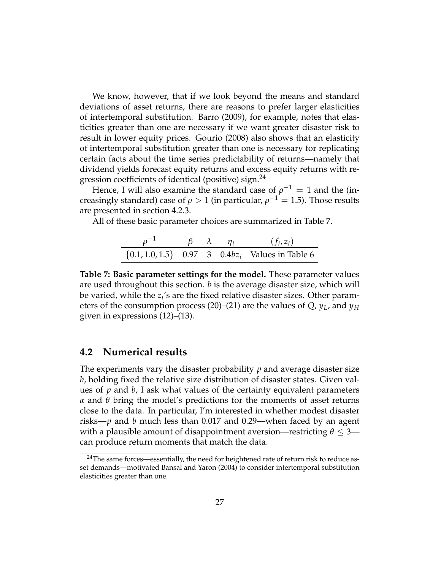We know, however, that if we look beyond the means and standard deviations of asset returns, there are reasons to prefer larger elasticities of intertemporal substitution. [Barro](#page-37-4) [\(2009\)](#page-37-4), for example, notes that elasticities greater than one are necessary if we want greater disaster risk to result in lower equity prices. [Gourio](#page-38-1) [\(2008\)](#page-38-1) also shows that an elasticity of intertemporal substitution greater than one is necessary for replicating certain facts about the time series predictability of returns—namely that dividend yields forecast equity returns and excess equity returns with regression coefficients of identical (positive) sign.<sup>24</sup>

Hence, I will also examine the standard case of  $\rho^{-1} = 1$  and the (increasingly standard) case of  $\rho > 1$  (in particular,  $\rho^{-1} = 1.5$ ). Those results are presented in section [4.2.3.](#page-32-0)

<span id="page-26-0"></span>All of these basic parameter choices are summarized in Table [7.](#page-26-0)

| $\rho^{-1}$ | $\beta$ $\lambda$ $\eta_i$ |  | $(f_i, z_i)$                                            |
|-------------|----------------------------|--|---------------------------------------------------------|
|             |                            |  | $\{0.1, 1.0, 1.5\}$ 0.97 3 0.4b $z_i$ Values in Table 6 |

**Table 7: Basic parameter settings for the model.** These parameter values are used throughout this section. *b* is the average disaster size, which will be varied, while the *z<sup>i</sup>* 's are the fixed relative disaster sizes. Other parameters of the consumption process [\(20\)](#page-23-1)–[\(21\)](#page-23-2) are the values of *Q*, *yL*, and *y<sup>H</sup>* given in expressions [\(12\)](#page-14-3)–[\(13\)](#page-14-4).

#### **4.2 Numerical results**

The experiments vary the disaster probability *p* and average disaster size *b*, holding fixed the relative size distribution of disaster states. Given values of *p* and *b*, I ask what values of the certainty equivalent parameters *α* and *θ* bring the model's predictions for the moments of asset returns close to the data. In particular, I'm interested in whether modest disaster risks—*p* and *b* much less than 0.017 and 0.29—when faced by an agent with a plausible amount of disappointment aversion—restricting *θ* ≤ 3 can produce return moments that match the data.

<sup>&</sup>lt;sup>24</sup>The same forces—essentially, the need for heightened rate of return risk to reduce asset demands—motivated [Bansal and Yaron](#page-37-3) [\(2004\)](#page-37-3) to consider intertemporal substitution elasticities greater than one.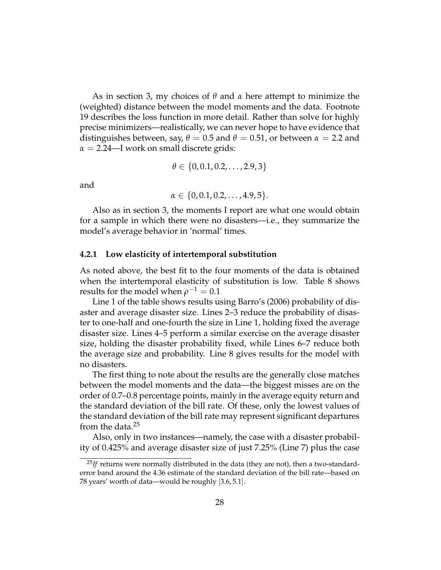As in section [3,](#page-14-0) my choices of *θ* and *α* here attempt to minimize the (weighted) distance between the model moments and the data. Footnote [19](#page-17-1) describes the loss function in more detail. Rather than solve for highly precise minimizers—realistically, we can never hope to have evidence that distinguishes between, say,  $\theta = 0.5$  and  $\theta = 0.51$ , or between  $\alpha = 2.2$  and  $\alpha = 2.24$ —I work on small discrete grids:

$$
\theta \in \{0, 0.1, 0.2, \ldots, 2.9, 3\}
$$

and

$$
\alpha \in \{0, 0.1, 0.2, \ldots, 4.9, 5\}.
$$

Also as in section [3,](#page-14-0) the moments I report are what one would obtain for a sample in which there were no disasters—i.e., they summarize the model's average behavior in 'normal' times.

#### <span id="page-27-0"></span>**4.2.1 Low elasticity of intertemporal substitution**

As noted above, the best fit to the four moments of the data is obtained when the intertemporal elasticity of substitution is low. Table [8](#page-28-0) shows results for the model when  $\rho^{-1}=0.1$ 

Line 1 of the table shows results using Barro's [\(2006\)](#page-37-0) probability of disaster and average disaster size. Lines 2–3 reduce the probability of disaster to one-half and one-fourth the size in Line 1, holding fixed the average disaster size. Lines 4–5 perform a similar exercise on the average disaster size, holding the disaster probability fixed, while Lines 6–7 reduce both the average size and probability. Line 8 gives results for the model with no disasters.

The first thing to note about the results are the generally close matches between the model moments and the data—the biggest misses are on the order of 0.7–0.8 percentage points, mainly in the average equity return and the standard deviation of the bill rate. Of these, only the lowest values of the standard deviation of the bill rate may represent significant departures from the data. $25$ 

Also, only in two instances—namely, the case with a disaster probability of 0.425% and average disaster size of just 7.25% (Line 7) plus the case

<sup>&</sup>lt;sup>25</sup>*If* returns were normally distributed in the data (they are not), then a two-standarderror band around the 4.36 estimate of the standard deviation of the bill rate—based on 78 years' worth of data—would be roughly [3.6, 5.1].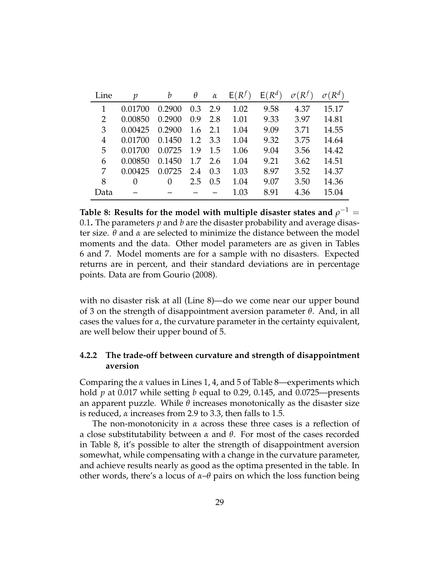<span id="page-28-0"></span>

| Line | $\mathcal{D}$ | b        | θ   | $\alpha$ | $E(R^f)$ | $E(R^d)$ |      | $\sigma(R^d)$ |
|------|---------------|----------|-----|----------|----------|----------|------|---------------|
| 1    | 0.01700       | 0.2900   | 0.3 | 2.9      | 1.02     | 9.58     | 4.37 | 15.17         |
| 2    | 0.00850       | 0.2900   | 0.9 | 2.8      | 1.01     | 9.33     | 3.97 | 14.81         |
| 3    | 0.00425       | 0.2900   | 1.6 | 2.1      | 1.04     | 9.09     | 3.71 | 14.55         |
| 4    | 0.01700       | 0.1450   | 1.2 | 3.3      | 1.04     | 9.32     | 3.75 | 14.64         |
| 5    | 0.01700       | 0.0725   | 1.9 | 1.5      | 1.06     | 9.04     | 3.56 | 14.42         |
| 6    | 0.00850       | 0.1450   | 1.7 | 2.6      | 1.04     | 9.21     | 3.62 | 14.51         |
| 7    | 0.00425       | 0.0725   | 2.4 | 0.3      | 1.03     | 8.97     | 3.52 | 14.37         |
| 8    | 0             | $\theta$ | 2.5 | 0.5      | 1.04     | 9.07     | 3.50 | 14.36         |
| Data |               |          |     |          | 1.03     | 8.91     | 4.36 | 15.04         |

Table 8: Results for the model with multiple disaster states and  $\rho^{-1}=$ 0.1**.** The parameters *p* and *b* are the disaster probability and average disaster size. *θ* and *α* are selected to minimize the distance between the model moments and the data. Other model parameters are as given in Tables [6](#page-24-0) and [7.](#page-26-0) Model moments are for a sample with no disasters. Expected returns are in percent, and their standard deviations are in percentage points. Data are from [Gourio](#page-38-1) [\(2008\)](#page-38-1).

with no disaster risk at all (Line 8)—do we come near our upper bound of 3 on the strength of disappointment aversion parameter *θ*. And, in all cases the values for *α*, the curvature parameter in the certainty equivalent, are well below their upper bound of 5.

### **4.2.2 The trade-off between curvature and strength of disappointment aversion**

Comparing the *α* values in Lines 1, 4, and 5 of Table [8—](#page-28-0)experiments which hold *p* at 0.017 while setting *b* equal to 0.29, 0.145, and 0.0725—presents an apparent puzzle. While *θ* increases monotonically as the disaster size is reduced, *α* increases from 2.9 to 3.3, then falls to 1.5.

The non-monotonicity in *α* across these three cases is a reflection of a close substitutability between *α* and *θ*. For most of the cases recorded in Table [8,](#page-28-0) it's possible to alter the strength of disappointment aversion somewhat, while compensating with a change in the curvature parameter, and achieve results nearly as good as the optima presented in the table. In other words, there's a locus of *α*–*θ* pairs on which the loss function being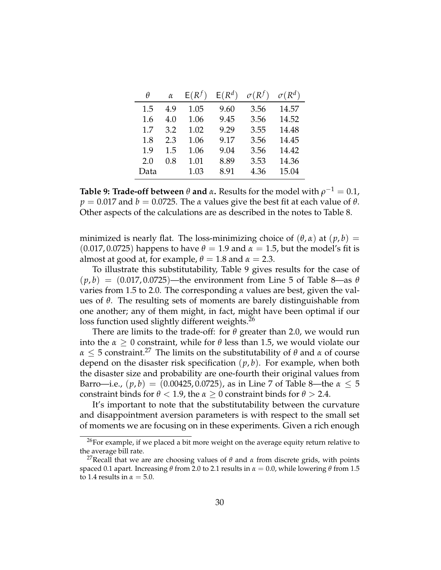<span id="page-29-0"></span>

| θ    | $\alpha$ | $E(R^f)$ | $E(R^d)$ | $\sigma(R^f)$ | $\sigma(R^d)$ |
|------|----------|----------|----------|---------------|---------------|
| 1.5  | 4.9      | 1.05     | 9.60     | 3.56          | 14.57         |
| 1.6  | 4.0      | 1.06     | 9.45     | 3.56          | 14.52         |
| 1.7  | 3.2      | 1.02     | 9.29     | 3.55          | 14.48         |
| 1.8  | 2.3      | 1.06     | 9.17     | 3.56          | 14.45         |
| 1.9  | 1.5      | 1.06     | 9.04     | 3.56          | 14.42         |
| 2.0  | 0.8      | 1.01     | 8.89     | 3.53          | 14.36         |
| Data |          | 1.03     | 8.91     | 4.36          | 15.04         |

**Table 9: Trade-off between** *θ* **and** *α***.** Results for the model with *ρ* <sup>−</sup><sup>1</sup> = 0.1,  $p = 0.017$  and  $b = 0.0725$ . The *α* values give the best fit at each value of  $\theta$ . Other aspects of the calculations are as described in the notes to Table [8.](#page-28-0)

minimized is nearly flat. The loss-minimizing choice of  $(\theta, \alpha)$  at  $(p, b)$  =  $(0.017, 0.0725)$  happens to have  $\theta = 1.9$  and  $\alpha = 1.5$ , but the model's fit is almost at good at, for example,  $\theta = 1.8$  and  $\alpha = 2.3$ .

To illustrate this substitutability, Table [9](#page-29-0) gives results for the case of  $(p, b) = (0.017, 0.0725)$ —the environment from Line 5 of Table [8—](#page-28-0)as  $\theta$ varies from 1.5 to 2.0. The corresponding *α* values are best, given the values of *θ*. The resulting sets of moments are barely distinguishable from one another; any of them might, in fact, might have been optimal if our loss function used slightly different weights.<sup>26</sup>

There are limits to the trade-off: for *θ* greater than 2.0, we would run into the  $\alpha > 0$  constraint, while for  $\theta$  less than 1.5, we would violate our *α*  $\leq$  5 constraint.<sup>27</sup> The limits on the substitutability of  $\theta$  and *α* of course depend on the disaster risk specification (*p*, *b*). For example, when both the disaster size and probability are one-fourth their original values from Barro—i.e.,  $(p, b) = (0.00425, 0.0725)$ , as in Line 7 of Table [8—](#page-28-0)the  $\alpha \leq 5$ constraint binds for  $\theta$  < 1.9, the  $\alpha \geq 0$  constraint binds for  $\theta > 2.4$ .

It's important to note that the substitutability between the curvature and disappointment aversion parameters is with respect to the small set of moments we are focusing on in these experiments. Given a rich enough

 $^{26}$ For example, if we placed a bit more weight on the average equity return relative to the average bill rate.

<sup>&</sup>lt;sup>27</sup>Recall that we are are choosing values of  $θ$  and  $α$  from discrete grids, with points spaced 0.1 apart. Increasing  $\theta$  from 2.0 to 2.1 results in  $\alpha = 0.0$ , while lowering  $\theta$  from 1.5 to 1.4 results in  $\alpha = 5.0$ .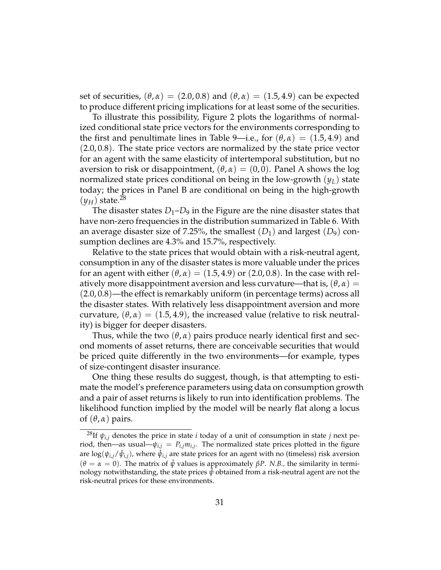set of securities,  $(\theta, \alpha) = (2.0, 0.8)$  and  $(\theta, \alpha) = (1.5, 4.9)$  can be expected to produce different pricing implications for at least some of the securities.

To illustrate this possibility, Figure [2](#page-31-0) plots the logarithms of normalized conditional state price vectors for the environments corresponding to the first and penultimate lines in Table [9—](#page-29-0)i.e., for  $(\theta, \alpha) = (1.5, 4.9)$  and  $(2.0, 0.8)$ . The state price vectors are normalized by the state price vector for an agent with the same elasticity of intertemporal substitution, but no aversion to risk or disappointment,  $(\theta, \alpha) = (0, 0)$ . Panel A shows the log normalized state prices conditional on being in the low-growth (*yL*) state today; the prices in Panel B are conditional on being in the high-growth  $(y_H)$  state.<sup>28</sup>

The disaster states  $D_1$ – $D_9$  in the Figure are the nine disaster states that have non-zero frequencies in the distribution summarized in Table [6.](#page-24-0) With an average disaster size of 7.25%, the smallest  $(D_1)$  and largest  $(D_9)$  consumption declines are 4.3% and 15.7%, respectively.

Relative to the state prices that would obtain with a risk-neutral agent, consumption in any of the disaster states is more valuable under the prices for an agent with either  $(\theta, \alpha) = (1.5, 4.9)$  or  $(2.0, 0.8)$ . In the case with relatively more disappointment aversion and less curvature—that is,  $(\theta, \alpha)$  = (2.0, 0.8)—the effect is remarkably uniform (in percentage terms) across all the disaster states. With relatively less disappointment aversion and more curvature,  $(\theta, \alpha) = (1.5, 4.9)$ , the increased value (relative to risk neutrality) is bigger for deeper disasters.

Thus, while the two  $(\theta, \alpha)$  pairs produce nearly identical first and second moments of asset returns, there are conceivable securities that would be priced quite differently in the two environments—for example, types of size-contingent disaster insurance.

One thing these results do suggest, though, is that attempting to estimate the model's preference parameters using data on consumption growth and a pair of asset returns is likely to run into identification problems. The likelihood function implied by the model will be nearly flat along a locus of  $(\theta, \alpha)$  pairs.

<sup>&</sup>lt;sup>28</sup>If  $\psi$ <sub>*i*,*j*</sub> denotes the price in state *i* today of a unit of consumption in state *j* next period, then—as usual— $\psi_{i,j} = P_{i,j} m_{i,j}$ . The normalized state prices plotted in the figure are log $(\psi_{i,j}/\hat{\psi}_{i,j})$ , where  $\hat{\psi}_{i,j}$  are state prices for an agent with no (timeless) risk aversion  $(\theta = \alpha = 0)$ . The matrix of  $\hat{\psi}$  values is approximately  $\beta P$ . *N.B.*, the similarity in terminology notwithstanding, the state prices  $\hat{\psi}$  obtained from a risk-neutral agent are not the risk-neutral prices for these environments.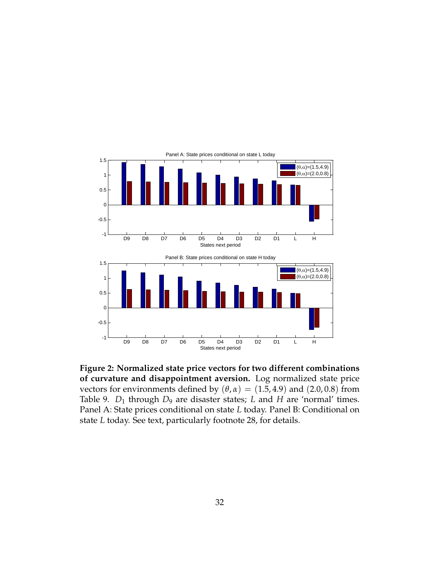<span id="page-31-0"></span>

**Figure 2: Normalized state price vectors for two different combinations of curvature and disappointment aversion.** Log normalized state price vectors for environments defined by  $(\theta, \alpha) = (1.5, 4.9)$  and  $(2.0, 0.8)$  from Table [9.](#page-29-0)  $D_1$  through  $D_9$  are disaster states; *L* and *H* are 'normal' times. Panel A: State prices conditional on state *L* today. Panel B: Conditional on state *L* today. See text, particularly footnote [28,](#page-29-0) for details.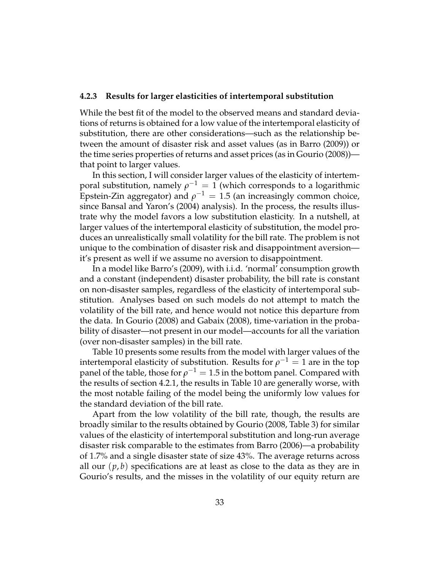#### <span id="page-32-0"></span>**4.2.3 Results for larger elasticities of intertemporal substitution**

While the best fit of the model to the observed means and standard deviations of returns is obtained for a low value of the intertemporal elasticity of substitution, there are other considerations—such as the relationship between the amount of disaster risk and asset values (as in [Barro](#page-37-4) [\(2009\)](#page-37-4)) or the time series properties of returns and asset prices (as in [Gourio](#page-38-1) [\(2008\)](#page-38-1)) that point to larger values.

In this section, I will consider larger values of the elasticity of intertemporal substitution, namely  $\rho^{-1}=1$  (which corresponds to a logarithmic Epstein-Zin aggregator) and  $\rho^{-1} = 1.5$  (an increasingly common choice, since Bansal and Yaron's [\(2004\)](#page-37-3) analysis). In the process, the results illustrate why the model favors a low substitution elasticity. In a nutshell, at larger values of the intertemporal elasticity of substitution, the model produces an unrealistically small volatility for the bill rate. The problem is not unique to the combination of disaster risk and disappointment aversion it's present as well if we assume no aversion to disappointment.

In a model like Barro's [\(2009\)](#page-37-4), with i.i.d. 'normal' consumption growth and a constant (independent) disaster probability, the bill rate is constant on non-disaster samples, regardless of the elasticity of intertemporal substitution. Analyses based on such models do not attempt to match the volatility of the bill rate, and hence would not notice this departure from the data. In [Gourio](#page-38-1) [\(2008\)](#page-38-1) and [Gabaix](#page-38-2) [\(2008\)](#page-38-2), time-variation in the probability of disaster—not present in our model—accounts for all the variation (over non-disaster samples) in the bill rate.

Table [10](#page-34-0) presents some results from the model with larger values of the intertemporal elasticity of substitution. Results for  $\rho^{-1} = 1$  are in the top panel of the table, those for  $\rho^{-1} = 1.5$  in the bottom panel. Compared with the results of section [4.2.1,](#page-27-0) the results in Table [10](#page-34-0) are generally worse, with the most notable failing of the model being the uniformly low values for the standard deviation of the bill rate.

Apart from the low volatility of the bill rate, though, the results are broadly similar to the results obtained by [Gourio](#page-38-1) [\(2008,](#page-38-1) Table 3) for similar values of the elasticity of intertemporal substitution and long-run average disaster risk comparable to the estimates from [Barro](#page-37-0) [\(2006\)](#page-37-0)—a probability of 1.7% and a single disaster state of size 43%. The average returns across all our  $(p, b)$  specifications are at least as close to the data as they are in Gourio's results, and the misses in the volatility of our equity return are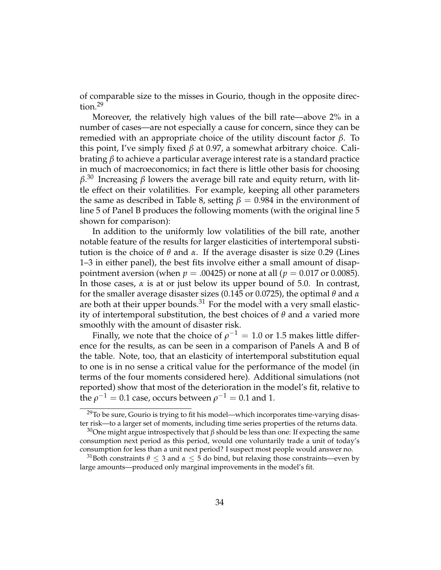of comparable size to the misses in Gourio, though in the opposite direction.<sup>29</sup>

Moreover, the relatively high values of the bill rate—above 2% in a number of cases—are not especially a cause for concern, since they can be remedied with an appropriate choice of the utility discount factor *β*. To this point, I've simply fixed *β* at 0.97, a somewhat arbitrary choice. Calibrating *β* to achieve a particular average interest rate is a standard practice in much of macroeconomics; in fact there is little other basis for choosing *β*. <sup>30</sup> Increasing *β* lowers the average bill rate and equity return, with little effect on their volatilities. For example, keeping all other parameters the same as described in Table [8,](#page-28-0) setting  $\beta = 0.984$  in the environment of line 5 of Panel B produces the following moments (with the original line 5 shown for comparison):

In addition to the uniformly low volatilities of the bill rate, another notable feature of the results for larger elasticities of intertemporal substitution is the choice of *θ* and *α*. If the average disaster is size 0.29 (Lines 1–3 in either panel), the best fits involve either a small amount of disappointment aversion (when  $p = .00425$ ) or none at all ( $p = 0.017$  or 0.0085). In those cases, *α* is at or just below its upper bound of 5.0. In contrast, for the smaller average disaster sizes (0.145 or 0.0725), the optimal *θ* and *α* are both at their upper bounds.<sup>31</sup> For the model with a very small elasticity of intertemporal substitution, the best choices of *θ* and *α* varied more smoothly with the amount of disaster risk.

Finally, we note that the choice of  $\rho^{-1}=1.0$  or 1.5 makes little difference for the results, as can be seen in a comparison of Panels A and B of the table. Note, too, that an elasticity of intertemporal substitution equal to one is in no sense a critical value for the performance of the model (in terms of the four moments considered here). Additional simulations (not reported) show that most of the deterioration in the model's fit, relative to the  $\rho^{-1}=0.1$  case, occurs between  $\rho^{-1}=0.1$  and 1.

<sup>&</sup>lt;sup>29</sup>To be sure, Gourio is trying to fit his model—which incorporates time-varying disaster risk—to a larger set of moments, including time series properties of the returns data.

<sup>&</sup>lt;sup>30</sup>One might argue introspectively that  $\beta$  should be less than one: If expecting the same consumption next period as this period, would one voluntarily trade a unit of today's consumption for less than a unit next period? I suspect most people would answer no.

<sup>&</sup>lt;sup>31</sup>Both constraints  $\theta \leq 3$  and  $\alpha \leq 5$  do bind, but relaxing those constraints—even by large amounts—produced only marginal improvements in the model's fit.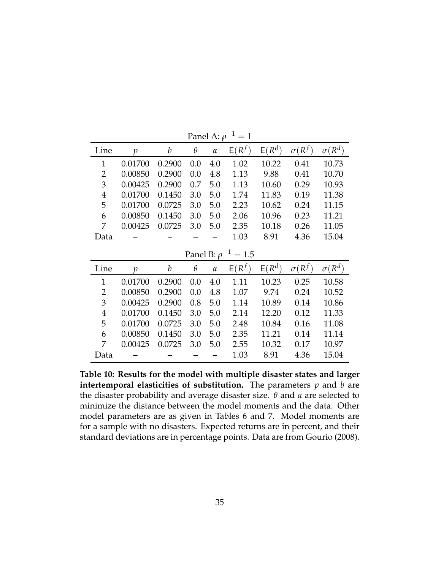<span id="page-34-0"></span>

| Line           | p             | b      | $\theta$ | $\alpha$ | $E(R^f)$                   | $E(R^d)$ | $\sigma(R^f)$ | $\sigma(R^d)$ |
|----------------|---------------|--------|----------|----------|----------------------------|----------|---------------|---------------|
| 1              | 0.01700       | 0.2900 | 0.0      | 4.0      | 1.02                       | 10.22    | 0.41          | 10.73         |
| 2              | 0.00850       | 0.2900 | 0.0      | 4.8      | 1.13                       | 9.88     | 0.41          | 10.70         |
| 3              | 0.00425       | 0.2900 | 0.7      | 5.0      | 1.13                       | 10.60    | 0.29          | 10.93         |
| $\overline{4}$ | 0.01700       | 0.1450 | 3.0      | 5.0      | 1.74                       | 11.83    | 0.19          | 11.38         |
| 5              | 0.01700       | 0.0725 | 3.0      | 5.0      | 2.23                       | 10.62    | 0.24          | 11.15         |
| 6              | 0.00850       | 0.1450 | 3.0      | 5.0      | 2.06                       | 10.96    | 0.23          | 11.21         |
| 7              | 0.00425       | 0.0725 | 3.0      | 5.0      | 2.35                       | 10.18    | 0.26          | 11.05         |
| Data           |               |        |          |          | 1.03                       | 8.91     | 4.36          | 15.04         |
|                |               |        |          |          | Panel B: $\rho^{-1} = 1.5$ |          |               |               |
|                |               |        |          |          |                            |          |               |               |
| Line           | $\mathcal{p}$ | b      | $\theta$ | $\alpha$ | $E(R^f)$                   | $E(R^d)$ | $\sigma(R^f)$ | $\sigma(R^d)$ |
| $\mathbf{1}$   | 0.01700       | 0.2900 | 0.0      | 4.0      | 1.11                       | 10.23    | 0.25          | 10.58         |
| $\overline{2}$ | 0.00850       | 0.2900 | 0.0      | 4.8      | 1.07                       | 9.74     | 0.24          | 10.52         |
| 3              | 0.00425       | 0.2900 | 0.8      | 5.0      | 1.14                       | 10.89    | 0.14          | 10.86         |
| $\overline{4}$ | 0.01700       | 0.1450 | 3.0      | 5.0      | 2.14                       | 12.20    | 0.12          | 11.33         |
| 5              | 0.01700       | 0.0725 | 3.0      | 5.0      | 2.48                       | 10.84    | 0.16          | 11.08         |
| 6              | 0.00850       | 0.1450 | 3.0      | 5.0      | 2.35                       | 11.21    | 0.14          | 11.14         |
| 7              | 0.00425       | 0.0725 | 3.0      | 5.0      | 2.55                       | 10.32    | 0.17          | 10.97         |

Panel A:  $\rho^{-1}=1$ 

**Table 10: Results for the model with multiple disaster states and larger intertemporal elasticities of substitution.** The parameters *p* and *b* are the disaster probability and average disaster size. *θ* and *α* are selected to minimize the distance between the model moments and the data. Other model parameters are as given in Tables [6](#page-24-0) and [7.](#page-26-0) Model moments are for a sample with no disasters. Expected returns are in percent, and their standard deviations are in percentage points. Data are from [Gourio](#page-38-1) [\(2008\)](#page-38-1).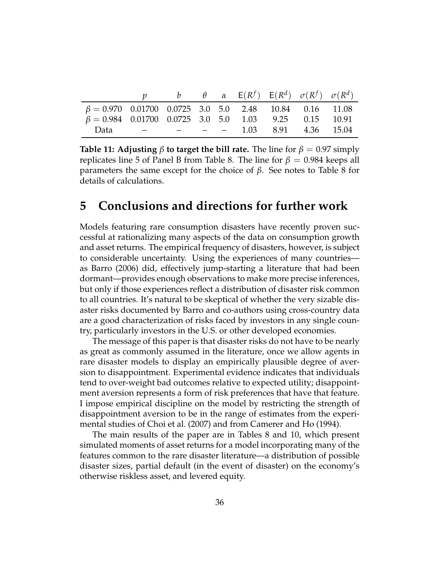|                                                              |                             |  |  | b $\theta$ $\alpha$ $E(R^f)$ $E(R^d)$ $\sigma(R^f)$ $\sigma(R^d)$ |  |
|--------------------------------------------------------------|-----------------------------|--|--|-------------------------------------------------------------------|--|
| $\beta = 0.970$ 0.01700 0.0725 3.0 5.0 2.48 10.84 0.16 11.08 |                             |  |  |                                                                   |  |
| $\beta = 0.984$ 0.01700 0.0725 3.0 5.0 1.03 9.25 0.15 10.91  |                             |  |  |                                                                   |  |
| Data                                                         | $   -$ 1.03 8.91 4.36 15.04 |  |  |                                                                   |  |

**Table 11: Adjusting**  $\beta$  **to target the bill rate.** The line for  $\beta = 0.97$  simply replicates line 5 of Panel B from Table [8.](#page-28-0) The line for  $\beta = 0.984$  keeps all parameters the same except for the choice of *β*. See notes to Table [8](#page-28-0) for details of calculations.

### <span id="page-35-0"></span>**5 Conclusions and directions for further work**

Models featuring rare consumption disasters have recently proven successful at rationalizing many aspects of the data on consumption growth and asset returns. The empirical frequency of disasters, however, is subject to considerable uncertainty. Using the experiences of many countries as [Barro](#page-37-0) [\(2006\)](#page-37-0) did, effectively jump-starting a literature that had been dormant—provides enough observations to make more precise inferences, but only if those experiences reflect a distribution of disaster risk common to all countries. It's natural to be skeptical of whether the very sizable disaster risks documented by Barro and co-authors using cross-country data are a good characterization of risks faced by investors in any single country, particularly investors in the U.S. or other developed economies.

The message of this paper is that disaster risks do not have to be nearly as great as commonly assumed in the literature, once we allow agents in rare disaster models to display an empirically plausible degree of aversion to disappointment. Experimental evidence indicates that individuals tend to over-weight bad outcomes relative to expected utility; disappointment aversion represents a form of risk preferences that have that feature. I impose empirical discipline on the model by restricting the strength of disappointment aversion to be in the range of estimates from the experimental studies of [Choi et al.](#page-38-4) [\(2007\)](#page-38-4) and from [Camerer and Ho](#page-38-3) [\(1994\)](#page-38-3).

The main results of the paper are in Tables [8](#page-28-0) and [10,](#page-34-0) which present simulated moments of asset returns for a model incorporating many of the features common to the rare disaster literature—a distribution of possible disaster sizes, partial default (in the event of disaster) on the economy's otherwise riskless asset, and levered equity.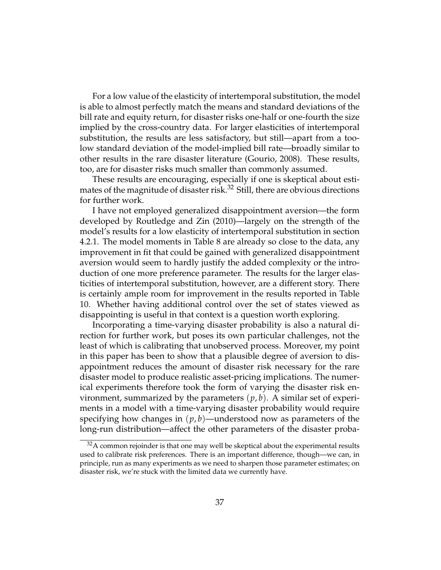For a low value of the elasticity of intertemporal substitution, the model is able to almost perfectly match the means and standard deviations of the bill rate and equity return, for disaster risks one-half or one-fourth the size implied by the cross-country data. For larger elasticities of intertemporal substitution, the results are less satisfactory, but still—apart from a toolow standard deviation of the model-implied bill rate—broadly similar to other results in the rare disaster literature [\(Gourio,](#page-38-1) [2008\)](#page-38-1). These results, too, are for disaster risks much smaller than commonly assumed.

These results are encouraging, especially if one is skeptical about estimates of the magnitude of disaster risk.<sup>32</sup> Still, there are obvious directions for further work.

I have not employed generalized disappointment aversion—the form developed by [Routledge and Zin](#page-39-0) [\(2010\)](#page-39-0)—largely on the strength of the model's results for a low elasticity of intertemporal substitution in section [4.2.1.](#page-27-0) The model moments in Table [8](#page-28-0) are already so close to the data, any improvement in fit that could be gained with generalized disappointment aversion would seem to hardly justify the added complexity or the introduction of one more preference parameter. The results for the larger elasticities of intertemporal substitution, however, are a different story. There is certainly ample room for improvement in the results reported in Table [10.](#page-34-0) Whether having additional control over the set of states viewed as disappointing is useful in that context is a question worth exploring.

Incorporating a time-varying disaster probability is also a natural direction for further work, but poses its own particular challenges, not the least of which is calibrating that unobserved process. Moreover, my point in this paper has been to show that a plausible degree of aversion to disappointment reduces the amount of disaster risk necessary for the rare disaster model to produce realistic asset-pricing implications. The numerical experiments therefore took the form of varying the disaster risk environment, summarized by the parameters  $(p, b)$ . A similar set of experiments in a model with a time-varying disaster probability would require specifying how changes in  $(p, b)$ —understood now as parameters of the long-run distribution—affect the other parameters of the disaster proba-

 $32A$  common rejoinder is that one may well be skeptical about the experimental results used to calibrate risk preferences. There is an important difference, though—we can, in principle, run as many experiments as we need to sharpen those parameter estimates; on disaster risk, we're stuck with the limited data we currently have.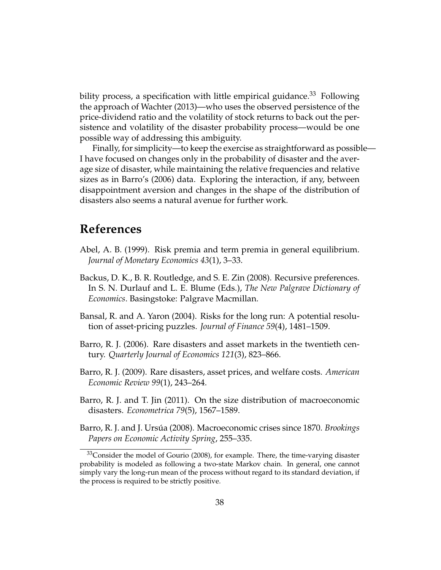bility process, a specification with little empirical guidance.<sup>33</sup> Following the approach of [Wachter](#page-39-11) [\(2013\)](#page-39-11)—who uses the observed persistence of the price-dividend ratio and the volatility of stock returns to back out the persistence and volatility of the disaster probability process—would be one possible way of addressing this ambiguity.

Finally, for simplicity—to keep the exercise as straightforward as possible— I have focused on changes only in the probability of disaster and the average size of disaster, while maintaining the relative frequencies and relative sizes as in Barro's [\(2006\)](#page-37-0) data. Exploring the interaction, if any, between disappointment aversion and changes in the shape of the distribution of disasters also seems a natural avenue for further work.

### **References**

- <span id="page-37-6"></span>Abel, A. B. (1999). Risk premia and term premia in general equilibrium. *Journal of Monetary Economics 43*(1), 3–33.
- <span id="page-37-5"></span>Backus, D. K., B. R. Routledge, and S. E. Zin (2008). Recursive preferences. In S. N. Durlauf and L. E. Blume (Eds.), *The New Palgrave Dictionary of Economics*. Basingstoke: Palgrave Macmillan.
- <span id="page-37-3"></span>Bansal, R. and A. Yaron (2004). Risks for the long run: A potential resolution of asset-pricing puzzles. *Journal of Finance 59*(4), 1481–1509.
- <span id="page-37-0"></span>Barro, R. J. (2006). Rare disasters and asset markets in the twentieth century. *Quarterly Journal of Economics 121*(3), 823–866.
- <span id="page-37-4"></span>Barro, R. J. (2009). Rare disasters, asset prices, and welfare costs. *American Economic Review 99*(1), 243–264.
- <span id="page-37-1"></span>Barro, R. J. and T. Jin (2011). On the size distribution of macroeconomic disasters. *Econometrica 79*(5), 1567–1589.
- <span id="page-37-2"></span>Barro, R. J. and J. Ursúa (2008). Macroeconomic crises since 1870. *Brookings Papers on Economic Activity Spring*, 255–335.

<sup>&</sup>lt;sup>33</sup>Consider the model of [Gourio](#page-38-1) [\(2008\)](#page-38-1), for example. There, the time-varying disaster probability is modeled as following a two-state Markov chain. In general, one cannot simply vary the long-run mean of the process without regard to its standard deviation, if the process is required to be strictly positive.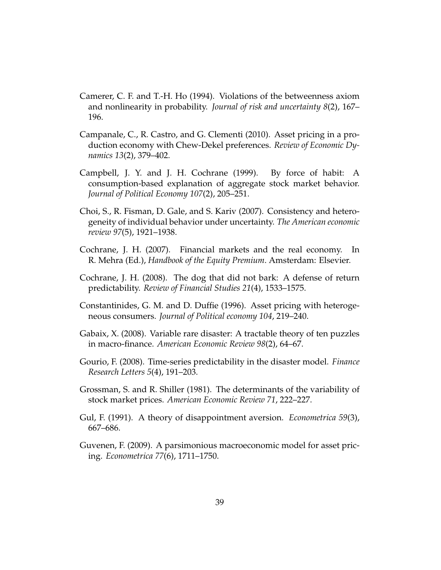- <span id="page-38-3"></span>Camerer, C. F. and T.-H. Ho (1994). Violations of the betweenness axiom and nonlinearity in probability. *Journal of risk and uncertainty 8*(2), 167– 196.
- <span id="page-38-0"></span>Campanale, C., R. Castro, and G. Clementi (2010). Asset pricing in a production economy with Chew-Dekel preferences. *Review of Economic Dynamics 13*(2), 379–402.
- <span id="page-38-7"></span>Campbell, J. Y. and J. H. Cochrane (1999). By force of habit: A consumption-based explanation of aggregate stock market behavior. *Journal of Political Economy 107*(2), 205–251.
- <span id="page-38-4"></span>Choi, S., R. Fisman, D. Gale, and S. Kariv (2007). Consistency and heterogeneity of individual behavior under uncertainty. *The American economic review 97*(5), 1921–1938.
- <span id="page-38-5"></span>Cochrane, J. H. (2007). Financial markets and the real economy. In R. Mehra (Ed.), *Handbook of the Equity Premium*. Amsterdam: Elsevier.
- <span id="page-38-10"></span>Cochrane, J. H. (2008). The dog that did not bark: A defense of return predictability. *Review of Financial Studies 21*(4), 1533–1575.
- <span id="page-38-8"></span>Constantinides, G. M. and D. Duffie (1996). Asset pricing with heterogeneous consumers. *Journal of Political economy 104*, 219–240.
- <span id="page-38-2"></span>Gabaix, X. (2008). Variable rare disaster: A tractable theory of ten puzzles in macro-finance. *American Economic Review 98*(2), 64–67.
- <span id="page-38-1"></span>Gourio, F. (2008). Time-series predictability in the disaster model. *Finance Research Letters 5*(4), 191–203.
- <span id="page-38-6"></span>Grossman, S. and R. Shiller (1981). The determinants of the variability of stock market prices. *American Economic Review 71*, 222–227.
- <span id="page-38-11"></span>Gul, F. (1991). A theory of disappointment aversion. *Econometrica 59*(3), 667–686.
- <span id="page-38-9"></span>Guvenen, F. (2009). A parsimonious macroeconomic model for asset pricing. *Econometrica 77*(6), 1711–1750.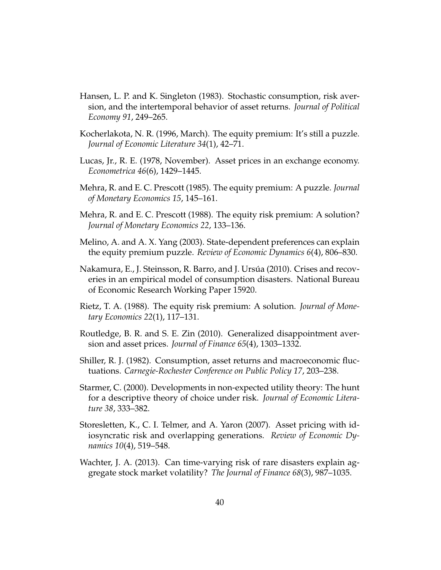- <span id="page-39-6"></span>Hansen, L. P. and K. Singleton (1983). Stochastic consumption, risk aversion, and the intertemporal behavior of asset returns. *Journal of Political Economy 91*, 249–265.
- <span id="page-39-10"></span>Kocherlakota, N. R. (1996, March). The equity premium: It's still a puzzle. *Journal of Economic Literature 34*(1), 42–71.
- <span id="page-39-12"></span>Lucas, Jr., R. E. (1978, November). Asset prices in an exchange economy. *Econometrica 46*(6), 1429–1445.
- <span id="page-39-4"></span>Mehra, R. and E. C. Prescott (1985). The equity premium: A puzzle. *Journal of Monetary Economics 15*, 145–161.
- <span id="page-39-9"></span>Mehra, R. and E. C. Prescott (1988). The equity risk premium: A solution? *Journal of Monetary Economics 22*, 133–136.
- <span id="page-39-7"></span>Melino, A. and A. X. Yang (2003). State-dependent preferences can explain the equity premium puzzle. *Review of Economic Dynamics 6*(4), 806–830.
- <span id="page-39-2"></span>Nakamura, E., J. Steinsson, R. Barro, and J. Ursúa (2010). Crises and recoveries in an empirical model of consumption disasters. National Bureau of Economic Research Working Paper 15920.
- <span id="page-39-1"></span>Rietz, T. A. (1988). The equity risk premium: A solution. *Journal of Monetary Economics 22*(1), 117–131.
- <span id="page-39-0"></span>Routledge, B. R. and S. E. Zin (2010). Generalized disappointment aversion and asset prices. *Journal of Finance 65*(4), 1303–1332.
- <span id="page-39-5"></span>Shiller, R. J. (1982). Consumption, asset returns and macroeconomic fluctuations. *Carnegie-Rochester Conference on Public Policy 17*, 203–238.
- <span id="page-39-3"></span>Starmer, C. (2000). Developments in non-expected utility theory: The hunt for a descriptive theory of choice under risk. *Journal of Economic Literature 38*, 333–382.
- <span id="page-39-8"></span>Storesletten, K., C. I. Telmer, and A. Yaron (2007). Asset pricing with idiosyncratic risk and overlapping generations. *Review of Economic Dynamics 10*(4), 519–548.
- <span id="page-39-11"></span>Wachter, J. A. (2013). Can time-varying risk of rare disasters explain aggregate stock market volatility? *The Journal of Finance 68*(3), 987–1035.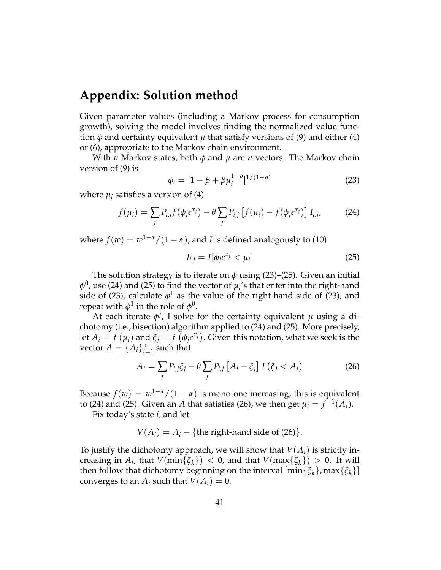### **Appendix: Solution method**

Given parameter values (including a Markov process for consumption growth), solving the model involves finding the normalized value function  $\phi$  and certainty equivalent  $\mu$  that satisfy versions of [\(9\)](#page-12-0) and either [\(4\)](#page-9-0) or [\(6\)](#page-9-2), appropriate to the Markov chain environment.

With *n* Markov states, both *φ* and *µ* are *n*-vectors. The Markov chain version of [\(9\)](#page-12-0) is

<span id="page-40-2"></span><span id="page-40-0"></span>
$$
\phi_i = [1 - \beta + \beta \mu_i^{1-\rho}]^{1/(1-\rho)}
$$
\n(23)

where  $\mu_i$  satisfies a version of [\(4\)](#page-9-0)

$$
f(\mu_i) = \sum_j P_{i,j} f(\phi_j e^{x_j}) - \theta \sum_j P_{i,j} [f(\mu_i) - f(\phi_j e^{x_j})] I_{i,j},
$$
 (24)

where  $f(w) = w^{1-\alpha}/(1-\alpha)$ , and *I* is defined analogously to [\(10\)](#page-13-0)

<span id="page-40-1"></span>
$$
I_{i,j} = I[\phi_j e^{x_j} < \mu_i] \tag{25}
$$

The solution strategy is to iterate on *φ* using [\(23\)](#page-40-0)–[\(25\)](#page-40-1). Given an initial  $\phi^0$ , use [\(24\)](#page-40-2) and [\(25\)](#page-40-1) to find the vector of  $\mu_i$ 's that enter into the right-hand side of [\(23\)](#page-40-0), calculate  $\phi^1$  as the value of the right-hand side of (23), and repeat with  $\phi^1$  in the role of  $\phi^0.$ 

At each iterate  $\phi^j$ , I solve for the certainty equivalent  $\mu$  using a dichotomy (i.e., bisection) algorithm applied to [\(24\)](#page-40-2) and [\(25\)](#page-40-1). More precisely, let  $A_i = f(\mu_i)$  and  $\xi_j = f(\phi_j e^{x_j})$ . Given this notation, what we seek is the vector  $A = \{A_i\}_{i=1}^n$  such that

<span id="page-40-3"></span>
$$
A_i = \sum_j P_{i,j} \xi_j - \theta \sum_j P_{i,j} \left[ A_i - \xi_j \right] I \left( \xi_j < A_i \right) \tag{26}
$$

Because  $f(w) = w^{1-\alpha}/(1-\alpha)$  is monotone increasing, this is equivalent to [\(24\)](#page-40-2) and [\(25\)](#page-40-1). Given an *A* that satisfies [\(26\)](#page-40-3), we then get  $\mu_i = f^{-1}(A_i)$ .

Fix today's state *i*, and let

$$
V(A_i) = A_i - \{
$$
the right-hand side of (26) $\}.$ 

To justify the dichotomy approach, we will show that *V*(*Ai*) is strictly in- $\text{creasing in } A_i$ , that  $V(\min\{\xi_k\}) < 0$ , and that  $V(\max\{\xi_k\}) > 0$ . It will then follow that dichotomy beginning on the interval [min{*ξk*}, max{*ξk*}] converges to an  $A_i$  such that  $V(A_i) = 0$ .